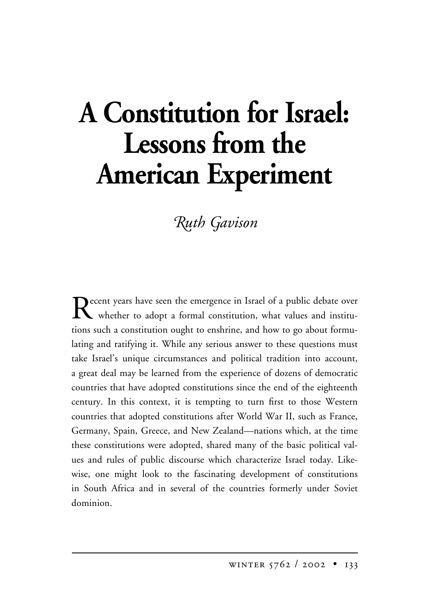# **A Constitution for Israel: Lessons from the American Experiment**

# $R$ uth *Gavison*

Recent years have seen the emergence in Israel of a public debate over<br>whether to adont a formal constitution, what values and instituwhether to adopt a formal constitution, what values and institutions such a constitution ought to enshrine, and how to go about formulating and ratifying it. While any serious answer to these questions must take Israel's unique circumstances and political tradition into account, a great deal may be learned from the experience of dozens of democratic countries that have adopted constitutions since the end of the eighteenth century. In this context, it is tempting to turn first to those Western countries that adopted constitutions after World War II, such as France, Germany, Spain, Greece, and New Zealand—nations which, at the time these constitutions were adopted, shared many of the basic political values and rules of public discourse which characterize Israel today. Likewise, one might look to the fascinating development of constitutions in South Africa and in several of the countries formerly under Soviet dominion.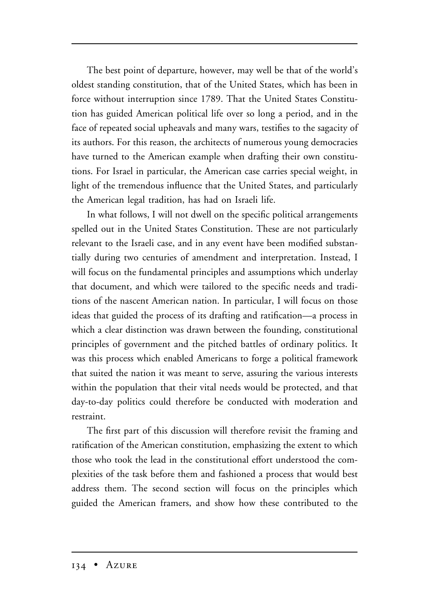The best point of departure, however, may well be that of the world's oldest standing constitution, that of the United States, which has been in force without interruption since 1789. That the United States Constitution has guided American political life over so long a period, and in the face of repeated social upheavals and many wars, testifies to the sagacity of its authors. For this reason, the architects of numerous young democracies have turned to the American example when drafting their own constitutions. For Israel in particular, the American case carries special weight, in light of the tremendous influence that the United States, and particularly the American legal tradition, has had on Israeli life.

In what follows, I will not dwell on the specific political arrangements spelled out in the United States Constitution. These are not particularly relevant to the Israeli case, and in any event have been modified substantially during two centuries of amendment and interpretation. Instead, I will focus on the fundamental principles and assumptions which underlay that document, and which were tailored to the specific needs and traditions of the nascent American nation. In particular, I will focus on those ideas that guided the process of its drafting and ratification—a process in which a clear distinction was drawn between the founding, constitutional principles of government and the pitched battles of ordinary politics. It was this process which enabled Americans to forge a political framework that suited the nation it was meant to serve, assuring the various interests within the population that their vital needs would be protected, and that day-to-day politics could therefore be conducted with moderation and restraint.

The first part of this discussion will therefore revisit the framing and ratification of the American constitution, emphasizing the extent to which those who took the lead in the constitutional effort understood the complexities of the task before them and fashioned a process that would best address them. The second section will focus on the principles which guided the American framers, and show how these contributed to the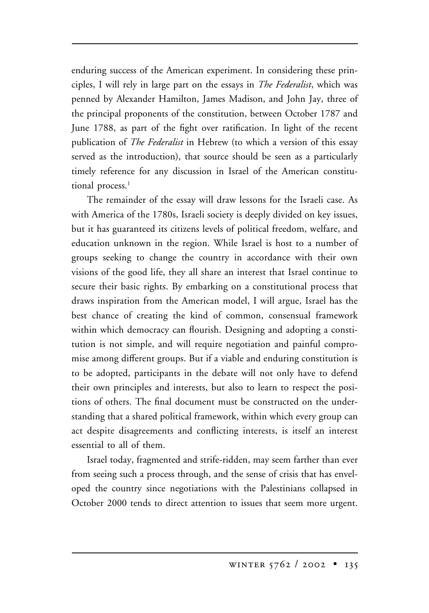enduring success of the American experiment. In considering these principles, I will rely in large part on the essays in *The Federalist*, which was penned by Alexander Hamilton, James Madison, and John Jay, three of the principal proponents of the constitution, between October 1787 and June 1788, as part of the fight over ratification. In light of the recent publication of *The Federalist* in Hebrew (to which a version of this essay served as the introduction), that source should be seen as a particularly timely reference for any discussion in Israel of the American constitutional process.<sup>1</sup>

The remainder of the essay will draw lessons for the Israeli case. As with America of the 1780s, Israeli society is deeply divided on key issues, but it has guaranteed its citizens levels of political freedom, welfare, and education unknown in the region. While Israel is host to a number of groups seeking to change the country in accordance with their own visions of the good life, they all share an interest that Israel continue to secure their basic rights. By embarking on a constitutional process that draws inspiration from the American model, I will argue, Israel has the best chance of creating the kind of common, consensual framework within which democracy can flourish. Designing and adopting a constitution is not simple, and will require negotiation and painful compromise among different groups. But if a viable and enduring constitution is to be adopted, participants in the debate will not only have to defend their own principles and interests, but also to learn to respect the positions of others. The final document must be constructed on the understanding that a shared political framework, within which every group can act despite disagreements and conflicting interests, is itself an interest essential to all of them.

Israel today, fragmented and strife-ridden, may seem farther than ever from seeing such a process through, and the sense of crisis that has enveloped the country since negotiations with the Palestinians collapsed in October 2000 tends to direct attention to issues that seem more urgent.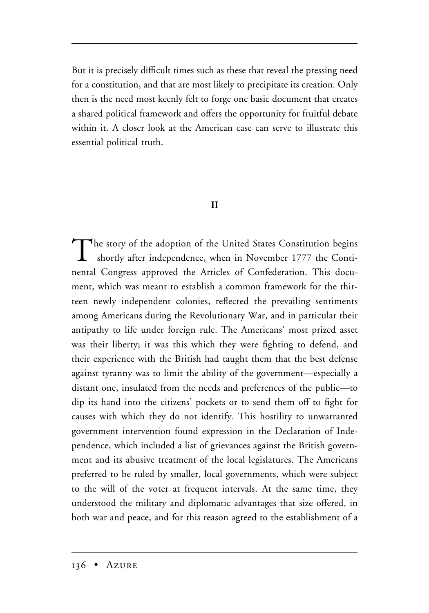But it is precisely difficult times such as these that reveal the pressing need for a constitution, and that are most likely to precipitate its creation. Only then is the need most keenly felt to forge one basic document that creates a shared political framework and offers the opportunity for fruitful debate within it. A closer look at the American case can serve to illustrate this essential political truth.

# **II**

The story of the adoption of the United States Constitution begins shortly after independence, when in November 1777 the Continental Congress approved the Articles of Confederation. This document, which was meant to establish a common framework for the thirteen newly independent colonies, reflected the prevailing sentiments among Americans during the Revolutionary War, and in particular their antipathy to life under foreign rule. The Americans' most prized asset was their liberty; it was this which they were fighting to defend, and their experience with the British had taught them that the best defense against tyranny was to limit the ability of the government—especially a distant one, insulated from the needs and preferences of the public—to dip its hand into the citizens' pockets or to send them off to fight for causes with which they do not identify. This hostility to unwarranted government intervention found expression in the Declaration of Independence, which included a list of grievances against the British government and its abusive treatment of the local legislatures. The Americans preferred to be ruled by smaller, local governments, which were subject to the will of the voter at frequent intervals. At the same time, they understood the military and diplomatic advantages that size offered, in both war and peace, and for this reason agreed to the establishment of a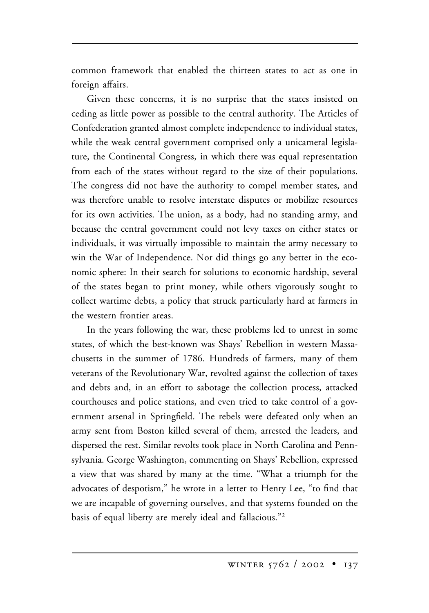common framework that enabled the thirteen states to act as one in foreign affairs.

Given these concerns, it is no surprise that the states insisted on ceding as little power as possible to the central authority. The Articles of Confederation granted almost complete independence to individual states, while the weak central government comprised only a unicameral legislature, the Continental Congress, in which there was equal representation from each of the states without regard to the size of their populations. The congress did not have the authority to compel member states, and was therefore unable to resolve interstate disputes or mobilize resources for its own activities. The union, as a body, had no standing army, and because the central government could not levy taxes on either states or individuals, it was virtually impossible to maintain the army necessary to win the War of Independence. Nor did things go any better in the economic sphere: In their search for solutions to economic hardship, several of the states began to print money, while others vigorously sought to collect wartime debts, a policy that struck particularly hard at farmers in the western frontier areas.

In the years following the war, these problems led to unrest in some states, of which the best-known was Shays' Rebellion in western Massachusetts in the summer of 1786. Hundreds of farmers, many of them veterans of the Revolutionary War, revolted against the collection of taxes and debts and, in an effort to sabotage the collection process, attacked courthouses and police stations, and even tried to take control of a government arsenal in Springfield. The rebels were defeated only when an army sent from Boston killed several of them, arrested the leaders, and dispersed the rest. Similar revolts took place in North Carolina and Pennsylvania. George Washington, commenting on Shays' Rebellion, expressed a view that was shared by many at the time. "What a triumph for the advocates of despotism," he wrote in a letter to Henry Lee, "to find that we are incapable of governing ourselves, and that systems founded on the basis of equal liberty are merely ideal and fallacious."2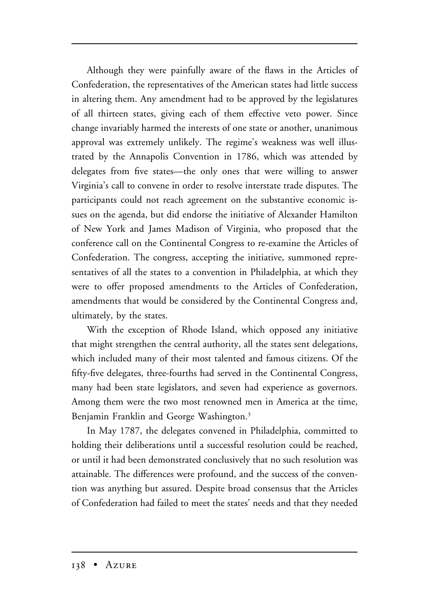Although they were painfully aware of the flaws in the Articles of Confederation, the representatives of the American states had little success in altering them. Any amendment had to be approved by the legislatures of all thirteen states, giving each of them effective veto power. Since change invariably harmed the interests of one state or another, unanimous approval was extremely unlikely. The regime's weakness was well illustrated by the Annapolis Convention in 1786, which was attended by delegates from five states—the only ones that were willing to answer Virginia's call to convene in order to resolve interstate trade disputes. The participants could not reach agreement on the substantive economic issues on the agenda, but did endorse the initiative of Alexander Hamilton of New York and James Madison of Virginia, who proposed that the conference call on the Continental Congress to re-examine the Articles of Confederation. The congress, accepting the initiative, summoned representatives of all the states to a convention in Philadelphia, at which they were to offer proposed amendments to the Articles of Confederation, amendments that would be considered by the Continental Congress and, ultimately, by the states.

With the exception of Rhode Island, which opposed any initiative that might strengthen the central authority, all the states sent delegations, which included many of their most talented and famous citizens. Of the fifty-five delegates, three-fourths had served in the Continental Congress, many had been state legislators, and seven had experience as governors. Among them were the two most renowned men in America at the time, Benjamin Franklin and George Washington.<sup>3</sup>

In May 1787, the delegates convened in Philadelphia, committed to holding their deliberations until a successful resolution could be reached, or until it had been demonstrated conclusively that no such resolution was attainable. The differences were profound, and the success of the convention was anything but assured. Despite broad consensus that the Articles of Confederation had failed to meet the states' needs and that they needed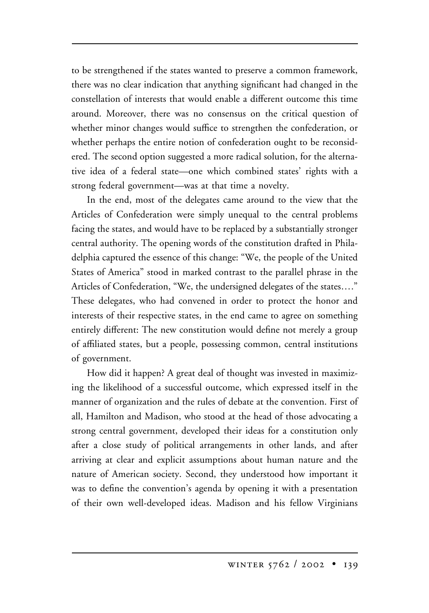to be strengthened if the states wanted to preserve a common framework, there was no clear indication that anything significant had changed in the constellation of interests that would enable a different outcome this time around. Moreover, there was no consensus on the critical question of whether minor changes would suffice to strengthen the confederation, or whether perhaps the entire notion of confederation ought to be reconsidered. The second option suggested a more radical solution, for the alternative idea of a federal state—one which combined states' rights with a strong federal government—was at that time a novelty.

In the end, most of the delegates came around to the view that the Articles of Confederation were simply unequal to the central problems facing the states, and would have to be replaced by a substantially stronger central authority. The opening words of the constitution drafted in Philadelphia captured the essence of this change: "We, the people of the United States of America" stood in marked contrast to the parallel phrase in the Articles of Confederation, "We, the undersigned delegates of the states…." These delegates, who had convened in order to protect the honor and interests of their respective states, in the end came to agree on something entirely different: The new constitution would define not merely a group of affiliated states, but a people, possessing common, central institutions of government.

How did it happen? A great deal of thought was invested in maximizing the likelihood of a successful outcome, which expressed itself in the manner of organization and the rules of debate at the convention. First of all, Hamilton and Madison, who stood at the head of those advocating a strong central government, developed their ideas for a constitution only after a close study of political arrangements in other lands, and after arriving at clear and explicit assumptions about human nature and the nature of American society. Second, they understood how important it was to define the convention's agenda by opening it with a presentation of their own well-developed ideas. Madison and his fellow Virginians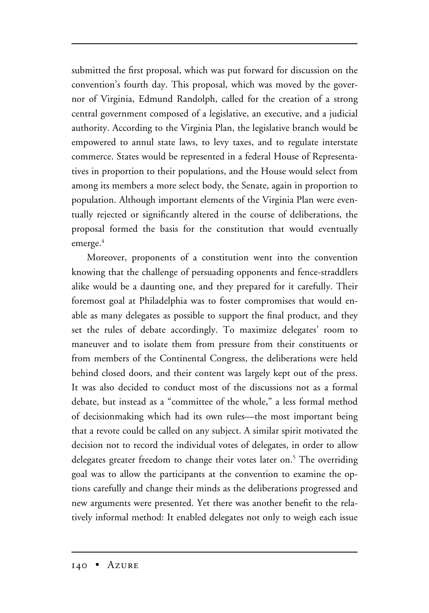submitted the first proposal, which was put forward for discussion on the convention's fourth day. This proposal, which was moved by the governor of Virginia, Edmund Randolph, called for the creation of a strong central government composed of a legislative, an executive, and a judicial authority. According to the Virginia Plan, the legislative branch would be empowered to annul state laws, to levy taxes, and to regulate interstate commerce. States would be represented in a federal House of Representatives in proportion to their populations, and the House would select from among its members a more select body, the Senate, again in proportion to population. Although important elements of the Virginia Plan were eventually rejected or significantly altered in the course of deliberations, the proposal formed the basis for the constitution that would eventually emerge.<sup>4</sup>

Moreover, proponents of a constitution went into the convention knowing that the challenge of persuading opponents and fence-straddlers alike would be a daunting one, and they prepared for it carefully. Their foremost goal at Philadelphia was to foster compromises that would enable as many delegates as possible to support the final product, and they set the rules of debate accordingly. To maximize delegates' room to maneuver and to isolate them from pressure from their constituents or from members of the Continental Congress, the deliberations were held behind closed doors, and their content was largely kept out of the press. It was also decided to conduct most of the discussions not as a formal debate, but instead as a "committee of the whole," a less formal method of decisionmaking which had its own rules—the most important being that a revote could be called on any subject. A similar spirit motivated the decision not to record the individual votes of delegates, in order to allow delegates greater freedom to change their votes later on.<sup>5</sup> The overriding goal was to allow the participants at the convention to examine the options carefully and change their minds as the deliberations progressed and new arguments were presented. Yet there was another benefit to the relatively informal method: It enabled delegates not only to weigh each issue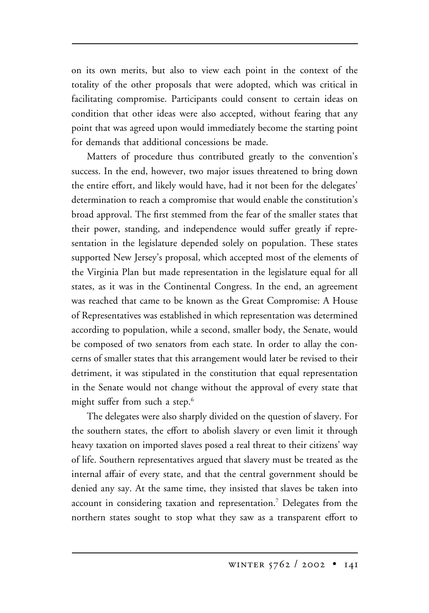on its own merits, but also to view each point in the context of the totality of the other proposals that were adopted, which was critical in facilitating compromise. Participants could consent to certain ideas on condition that other ideas were also accepted, without fearing that any point that was agreed upon would immediately become the starting point for demands that additional concessions be made.

Matters of procedure thus contributed greatly to the convention's success. In the end, however, two major issues threatened to bring down the entire effort, and likely would have, had it not been for the delegates' determination to reach a compromise that would enable the constitution's broad approval. The first stemmed from the fear of the smaller states that their power, standing, and independence would suffer greatly if representation in the legislature depended solely on population. These states supported New Jersey's proposal, which accepted most of the elements of the Virginia Plan but made representation in the legislature equal for all states, as it was in the Continental Congress. In the end, an agreement was reached that came to be known as the Great Compromise: A House of Representatives was established in which representation was determined according to population, while a second, smaller body, the Senate, would be composed of two senators from each state. In order to allay the concerns of smaller states that this arrangement would later be revised to their detriment, it was stipulated in the constitution that equal representation in the Senate would not change without the approval of every state that might suffer from such a step.<sup>6</sup>

The delegates were also sharply divided on the question of slavery. For the southern states, the effort to abolish slavery or even limit it through heavy taxation on imported slaves posed a real threat to their citizens' way of life. Southern representatives argued that slavery must be treated as the internal affair of every state, and that the central government should be denied any say. At the same time, they insisted that slaves be taken into account in considering taxation and representation.7 Delegates from the northern states sought to stop what they saw as a transparent effort to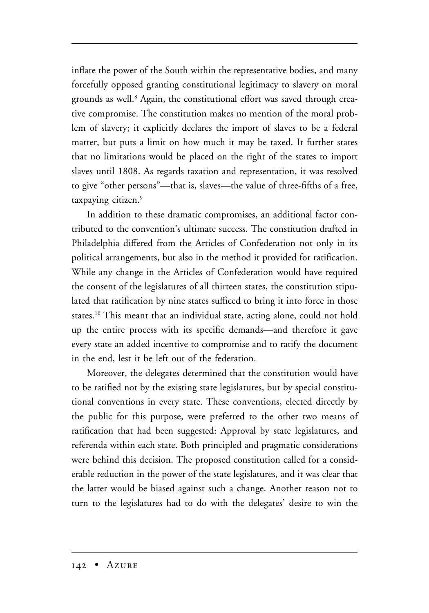inflate the power of the South within the representative bodies, and many forcefully opposed granting constitutional legitimacy to slavery on moral grounds as well.<sup>8</sup> Again, the constitutional effort was saved through creative compromise. The constitution makes no mention of the moral problem of slavery; it explicitly declares the import of slaves to be a federal matter, but puts a limit on how much it may be taxed. It further states that no limitations would be placed on the right of the states to import slaves until 1808. As regards taxation and representation, it was resolved to give "other persons"—that is, slaves—the value of three-fifths of a free, taxpaying citizen.<sup>9</sup>

In addition to these dramatic compromises, an additional factor contributed to the convention's ultimate success. The constitution drafted in Philadelphia differed from the Articles of Confederation not only in its political arrangements, but also in the method it provided for ratification. While any change in the Articles of Confederation would have required the consent of the legislatures of all thirteen states, the constitution stipulated that ratification by nine states sufficed to bring it into force in those states.10 This meant that an individual state, acting alone, could not hold up the entire process with its specific demands—and therefore it gave every state an added incentive to compromise and to ratify the document in the end, lest it be left out of the federation.

Moreover, the delegates determined that the constitution would have to be ratified not by the existing state legislatures, but by special constitutional conventions in every state. These conventions, elected directly by the public for this purpose, were preferred to the other two means of ratification that had been suggested: Approval by state legislatures, and referenda within each state. Both principled and pragmatic considerations were behind this decision. The proposed constitution called for a considerable reduction in the power of the state legislatures, and it was clear that the latter would be biased against such a change. Another reason not to turn to the legislatures had to do with the delegates' desire to win the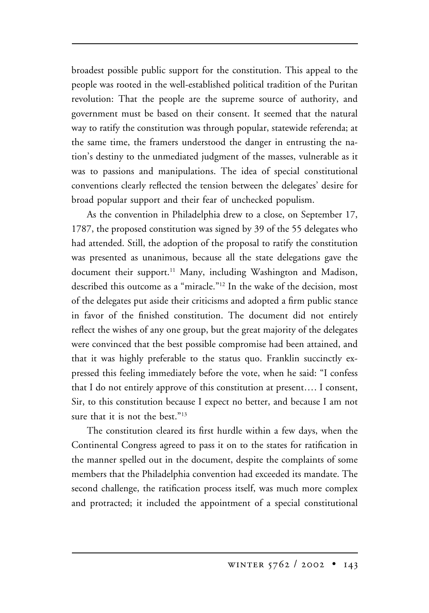broadest possible public support for the constitution. This appeal to the people was rooted in the well-established political tradition of the Puritan revolution: That the people are the supreme source of authority, and government must be based on their consent. It seemed that the natural way to ratify the constitution was through popular, statewide referenda; at the same time, the framers understood the danger in entrusting the nation's destiny to the unmediated judgment of the masses, vulnerable as it was to passions and manipulations. The idea of special constitutional conventions clearly reflected the tension between the delegates' desire for broad popular support and their fear of unchecked populism.

As the convention in Philadelphia drew to a close, on September 17, 1787, the proposed constitution was signed by 39 of the 55 delegates who had attended. Still, the adoption of the proposal to ratify the constitution was presented as unanimous, because all the state delegations gave the document their support.<sup>11</sup> Many, including Washington and Madison, described this outcome as a "miracle."12 In the wake of the decision, most of the delegates put aside their criticisms and adopted a firm public stance in favor of the finished constitution. The document did not entirely reflect the wishes of any one group, but the great majority of the delegates were convinced that the best possible compromise had been attained, and that it was highly preferable to the status quo. Franklin succinctly expressed this feeling immediately before the vote, when he said: "I confess that I do not entirely approve of this constitution at present…. I consent, Sir, to this constitution because I expect no better, and because I am not sure that it is not the best."<sup>13</sup>

The constitution cleared its first hurdle within a few days, when the Continental Congress agreed to pass it on to the states for ratification in the manner spelled out in the document, despite the complaints of some members that the Philadelphia convention had exceeded its mandate. The second challenge, the ratification process itself, was much more complex and protracted; it included the appointment of a special constitutional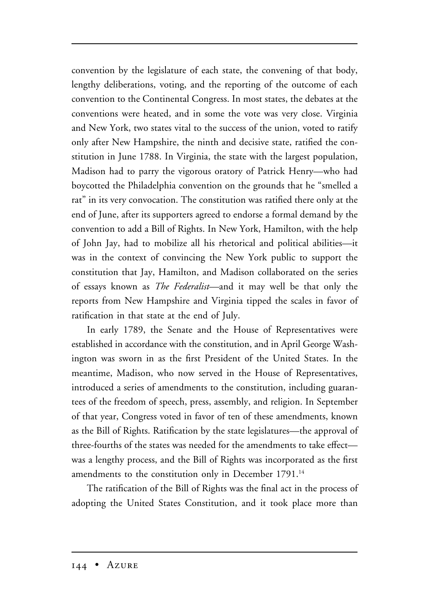convention by the legislature of each state, the convening of that body, lengthy deliberations, voting, and the reporting of the outcome of each convention to the Continental Congress. In most states, the debates at the conventions were heated, and in some the vote was very close. Virginia and New York, two states vital to the success of the union, voted to ratify only after New Hampshire, the ninth and decisive state, ratified the constitution in June 1788. In Virginia, the state with the largest population, Madison had to parry the vigorous oratory of Patrick Henry—who had boycotted the Philadelphia convention on the grounds that he "smelled a rat" in its very convocation. The constitution was ratified there only at the end of June, after its supporters agreed to endorse a formal demand by the convention to add a Bill of Rights. In New York, Hamilton, with the help of John Jay, had to mobilize all his rhetorical and political abilities—it was in the context of convincing the New York public to support the constitution that Jay, Hamilton, and Madison collaborated on the series of essays known as *The Federalist—*and it may well be that only the reports from New Hampshire and Virginia tipped the scales in favor of ratification in that state at the end of July.

In early 1789, the Senate and the House of Representatives were established in accordance with the constitution, and in April George Washington was sworn in as the first President of the United States. In the meantime, Madison, who now served in the House of Representatives, introduced a series of amendments to the constitution, including guarantees of the freedom of speech, press, assembly, and religion. In September of that year, Congress voted in favor of ten of these amendments, known as the Bill of Rights. Ratification by the state legislatures—the approval of three-fourths of the states was needed for the amendments to take effect was a lengthy process, and the Bill of Rights was incorporated as the first amendments to the constitution only in December 1791.<sup>14</sup>

The ratification of the Bill of Rights was the final act in the process of adopting the United States Constitution, and it took place more than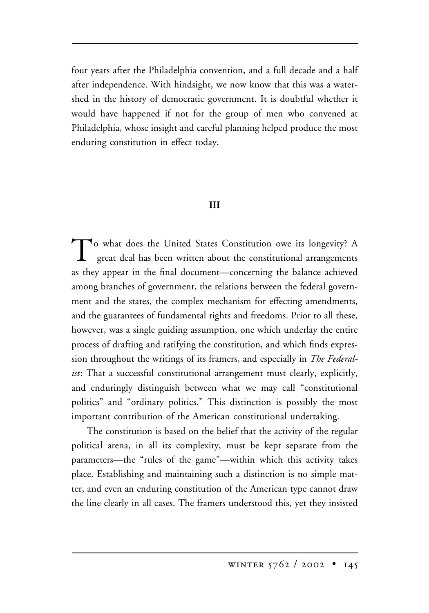four years after the Philadelphia convention, and a full decade and a half after independence. With hindsight, we now know that this was a watershed in the history of democratic government. It is doubtful whether it would have happened if not for the group of men who convened at Philadelphia, whose insight and careful planning helped produce the most enduring constitution in effect today.

## **III**

To what does the United States Constitution owe its longevity? A great deal has been written about the constitutional arrangements as they appear in the final document—concerning the balance achieved among branches of government, the relations between the federal government and the states, the complex mechanism for effecting amendments, and the guarantees of fundamental rights and freedoms. Prior to all these, however, was a single guiding assumption, one which underlay the entire process of drafting and ratifying the constitution, and which finds expression throughout the writings of its framers, and especially in *The Federalist*: That a successful constitutional arrangement must clearly, explicitly, and enduringly distinguish between what we may call "constitutional politics" and "ordinary politics." This distinction is possibly the most important contribution of the American constitutional undertaking.

The constitution is based on the belief that the activity of the regular political arena, in all its complexity, must be kept separate from the parameters—the "rules of the game"—within which this activity takes place. Establishing and maintaining such a distinction is no simple matter, and even an enduring constitution of the American type cannot draw the line clearly in all cases. The framers understood this, yet they insisted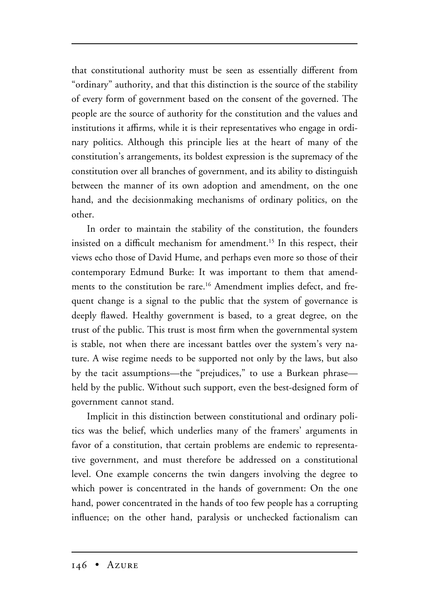that constitutional authority must be seen as essentially different from "ordinary" authority, and that this distinction is the source of the stability of every form of government based on the consent of the governed. The people are the source of authority for the constitution and the values and institutions it affirms, while it is their representatives who engage in ordinary politics. Although this principle lies at the heart of many of the constitution's arrangements, its boldest expression is the supremacy of the constitution over all branches of government, and its ability to distinguish between the manner of its own adoption and amendment, on the one hand, and the decisionmaking mechanisms of ordinary politics, on the other.

In order to maintain the stability of the constitution, the founders insisted on a difficult mechanism for amendment.<sup>15</sup> In this respect, their views echo those of David Hume, and perhaps even more so those of their contemporary Edmund Burke: It was important to them that amendments to the constitution be rare.<sup>16</sup> Amendment implies defect, and frequent change is a signal to the public that the system of governance is deeply flawed. Healthy government is based, to a great degree, on the trust of the public. This trust is most firm when the governmental system is stable, not when there are incessant battles over the system's very nature. A wise regime needs to be supported not only by the laws, but also by the tacit assumptions—the "prejudices," to use a Burkean phrase held by the public. Without such support, even the best-designed form of government cannot stand.

Implicit in this distinction between constitutional and ordinary politics was the belief, which underlies many of the framers' arguments in favor of a constitution, that certain problems are endemic to representative government, and must therefore be addressed on a constitutional level. One example concerns the twin dangers involving the degree to which power is concentrated in the hands of government: On the one hand, power concentrated in the hands of too few people has a corrupting influence; on the other hand, paralysis or unchecked factionalism can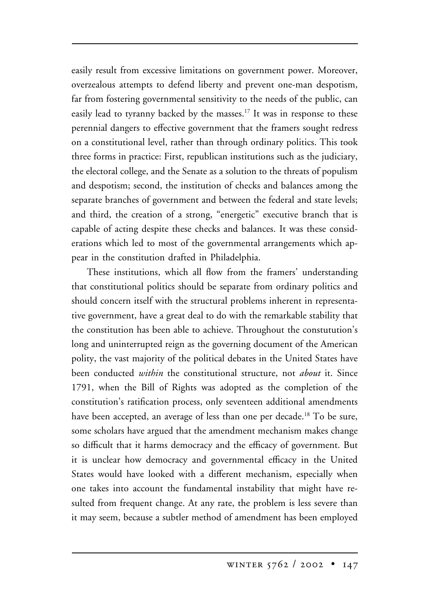easily result from excessive limitations on government power. Moreover, overzealous attempts to defend liberty and prevent one-man despotism, far from fostering governmental sensitivity to the needs of the public, can easily lead to tyranny backed by the masses.<sup>17</sup> It was in response to these perennial dangers to effective government that the framers sought redress on a constitutional level, rather than through ordinary politics. This took three forms in practice: First, republican institutions such as the judiciary, the electoral college, and the Senate as a solution to the threats of populism and despotism; second, the institution of checks and balances among the separate branches of government and between the federal and state levels; and third, the creation of a strong, "energetic" executive branch that is capable of acting despite these checks and balances. It was these considerations which led to most of the governmental arrangements which appear in the constitution drafted in Philadelphia.

These institutions, which all flow from the framers' understanding that constitutional politics should be separate from ordinary politics and should concern itself with the structural problems inherent in representative government, have a great deal to do with the remarkable stability that the constitution has been able to achieve. Throughout the constutution's long and uninterrupted reign as the governing document of the American polity, the vast majority of the political debates in the United States have been conducted *within* the constitutional structure, not *about* it. Since 1791, when the Bill of Rights was adopted as the completion of the constitution's ratification process, only seventeen additional amendments have been accepted, an average of less than one per decade.<sup>18</sup> To be sure, some scholars have argued that the amendment mechanism makes change so difficult that it harms democracy and the efficacy of government. But it is unclear how democracy and governmental efficacy in the United States would have looked with a different mechanism, especially when one takes into account the fundamental instability that might have resulted from frequent change. At any rate, the problem is less severe than it may seem, because a subtler method of amendment has been employed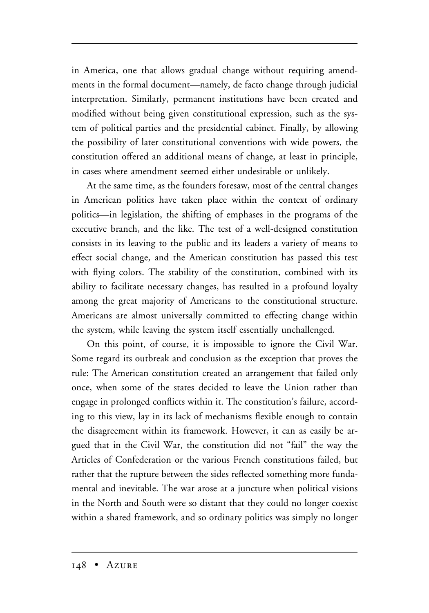in America, one that allows gradual change without requiring amendments in the formal document—namely, de facto change through judicial interpretation. Similarly, permanent institutions have been created and modified without being given constitutional expression, such as the system of political parties and the presidential cabinet. Finally, by allowing the possibility of later constitutional conventions with wide powers, the constitution offered an additional means of change, at least in principle, in cases where amendment seemed either undesirable or unlikely.

At the same time, as the founders foresaw, most of the central changes in American politics have taken place within the context of ordinary politics—in legislation, the shifting of emphases in the programs of the executive branch, and the like. The test of a well-designed constitution consists in its leaving to the public and its leaders a variety of means to effect social change, and the American constitution has passed this test with flying colors. The stability of the constitution, combined with its ability to facilitate necessary changes, has resulted in a profound loyalty among the great majority of Americans to the constitutional structure. Americans are almost universally committed to effecting change within the system, while leaving the system itself essentially unchallenged.

On this point, of course, it is impossible to ignore the Civil War. Some regard its outbreak and conclusion as the exception that proves the rule: The American constitution created an arrangement that failed only once, when some of the states decided to leave the Union rather than engage in prolonged conflicts within it. The constitution's failure, according to this view, lay in its lack of mechanisms flexible enough to contain the disagreement within its framework. However, it can as easily be argued that in the Civil War, the constitution did not "fail" the way the Articles of Confederation or the various French constitutions failed, but rather that the rupture between the sides reflected something more fundamental and inevitable. The war arose at a juncture when political visions in the North and South were so distant that they could no longer coexist within a shared framework, and so ordinary politics was simply no longer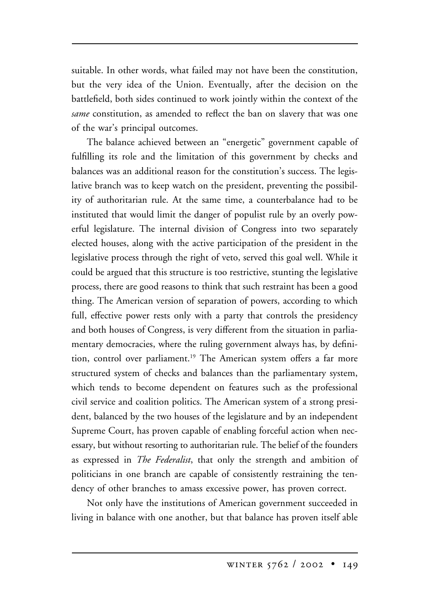suitable. In other words, what failed may not have been the constitution, but the very idea of the Union. Eventually, after the decision on the battlefield, both sides continued to work jointly within the context of the *same* constitution, as amended to reflect the ban on slavery that was one of the war's principal outcomes.

The balance achieved between an "energetic" government capable of fulfilling its role and the limitation of this government by checks and balances was an additional reason for the constitution's success. The legislative branch was to keep watch on the president, preventing the possibility of authoritarian rule. At the same time, a counterbalance had to be instituted that would limit the danger of populist rule by an overly powerful legislature. The internal division of Congress into two separately elected houses, along with the active participation of the president in the legislative process through the right of veto, served this goal well. While it could be argued that this structure is too restrictive, stunting the legislative process, there are good reasons to think that such restraint has been a good thing. The American version of separation of powers, according to which full, effective power rests only with a party that controls the presidency and both houses of Congress, is very different from the situation in parliamentary democracies, where the ruling government always has, by definition, control over parliament.<sup>19</sup> The American system offers a far more structured system of checks and balances than the parliamentary system, which tends to become dependent on features such as the professional civil service and coalition politics. The American system of a strong president, balanced by the two houses of the legislature and by an independent Supreme Court, has proven capable of enabling forceful action when necessary, but without resorting to authoritarian rule. The belief of the founders as expressed in *The Federalist*, that only the strength and ambition of politicians in one branch are capable of consistently restraining the tendency of other branches to amass excessive power, has proven correct.

Not only have the institutions of American government succeeded in living in balance with one another, but that balance has proven itself able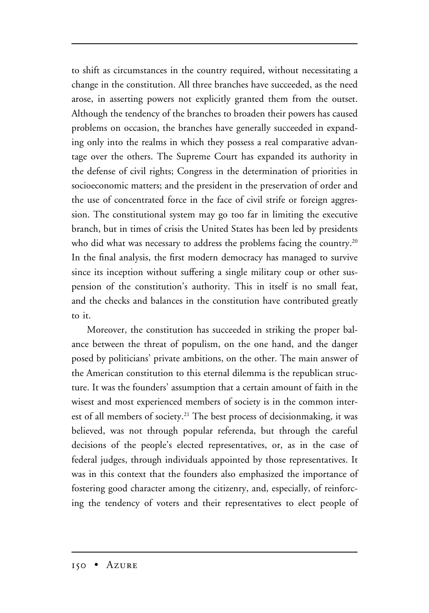to shift as circumstances in the country required, without necessitating a change in the constitution. All three branches have succeeded, as the need arose, in asserting powers not explicitly granted them from the outset. Although the tendency of the branches to broaden their powers has caused problems on occasion, the branches have generally succeeded in expanding only into the realms in which they possess a real comparative advantage over the others. The Supreme Court has expanded its authority in the defense of civil rights; Congress in the determination of priorities in socioeconomic matters; and the president in the preservation of order and the use of concentrated force in the face of civil strife or foreign aggression. The constitutional system may go too far in limiting the executive branch, but in times of crisis the United States has been led by presidents who did what was necessary to address the problems facing the country.<sup>20</sup> In the final analysis, the first modern democracy has managed to survive since its inception without suffering a single military coup or other suspension of the constitution's authority. This in itself is no small feat, and the checks and balances in the constitution have contributed greatly to it.

Moreover, the constitution has succeeded in striking the proper balance between the threat of populism, on the one hand, and the danger posed by politicians' private ambitions, on the other. The main answer of the American constitution to this eternal dilemma is the republican structure. It was the founders' assumption that a certain amount of faith in the wisest and most experienced members of society is in the common interest of all members of society.<sup>21</sup> The best process of decisionmaking, it was believed, was not through popular referenda, but through the careful decisions of the people's elected representatives, or, as in the case of federal judges, through individuals appointed by those representatives. It was in this context that the founders also emphasized the importance of fostering good character among the citizenry, and, especially, of reinforcing the tendency of voters and their representatives to elect people of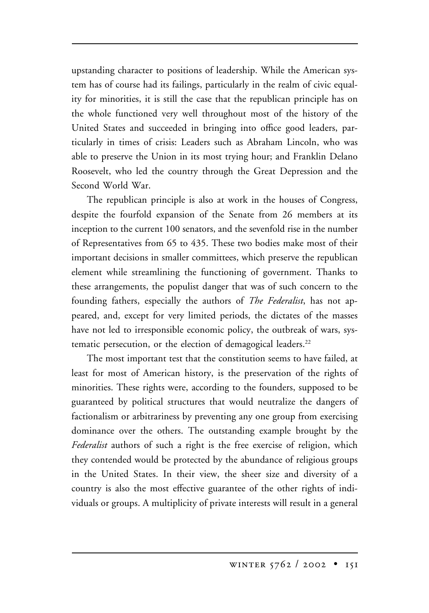upstanding character to positions of leadership. While the American system has of course had its failings, particularly in the realm of civic equality for minorities, it is still the case that the republican principle has on the whole functioned very well throughout most of the history of the United States and succeeded in bringing into office good leaders, particularly in times of crisis: Leaders such as Abraham Lincoln, who was able to preserve the Union in its most trying hour; and Franklin Delano Roosevelt, who led the country through the Great Depression and the Second World War.

The republican principle is also at work in the houses of Congress, despite the fourfold expansion of the Senate from 26 members at its inception to the current 100 senators, and the sevenfold rise in the number of Representatives from 65 to 435. These two bodies make most of their important decisions in smaller committees, which preserve the republican element while streamlining the functioning of government. Thanks to these arrangements, the populist danger that was of such concern to the founding fathers, especially the authors of *The Federalist*, has not appeared, and, except for very limited periods, the dictates of the masses have not led to irresponsible economic policy, the outbreak of wars, systematic persecution, or the election of demagogical leaders.<sup>22</sup>

The most important test that the constitution seems to have failed, at least for most of American history, is the preservation of the rights of minorities. These rights were, according to the founders, supposed to be guaranteed by political structures that would neutralize the dangers of factionalism or arbitrariness by preventing any one group from exercising dominance over the others. The outstanding example brought by the *Federalist* authors of such a right is the free exercise of religion, which they contended would be protected by the abundance of religious groups in the United States. In their view, the sheer size and diversity of a country is also the most effective guarantee of the other rights of individuals or groups. A multiplicity of private interests will result in a general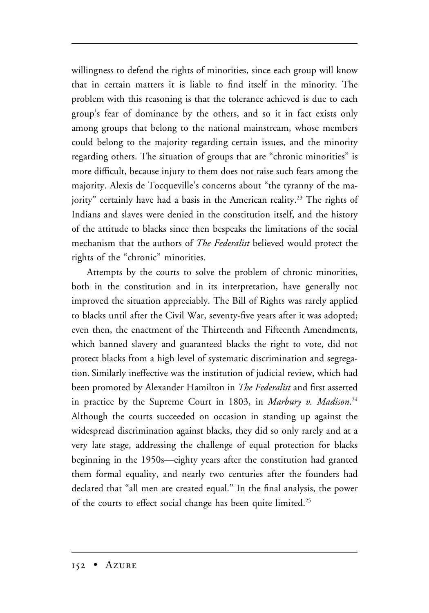willingness to defend the rights of minorities, since each group will know that in certain matters it is liable to find itself in the minority. The problem with this reasoning is that the tolerance achieved is due to each group's fear of dominance by the others, and so it in fact exists only among groups that belong to the national mainstream, whose members could belong to the majority regarding certain issues, and the minority regarding others. The situation of groups that are "chronic minorities" is more difficult, because injury to them does not raise such fears among the majority. Alexis de Tocqueville's concerns about "the tyranny of the majority" certainly have had a basis in the American reality.<sup>23</sup> The rights of Indians and slaves were denied in the constitution itself, and the history of the attitude to blacks since then bespeaks the limitations of the social mechanism that the authors of *The Federalist* believed would protect the rights of the "chronic" minorities.

Attempts by the courts to solve the problem of chronic minorities, both in the constitution and in its interpretation, have generally not improved the situation appreciably. The Bill of Rights was rarely applied to blacks until after the Civil War, seventy-five years after it was adopted; even then, the enactment of the Thirteenth and Fifteenth Amendments, which banned slavery and guaranteed blacks the right to vote, did not protect blacks from a high level of systematic discrimination and segregation. Similarly ineffective was the institution of judicial review, which had been promoted by Alexander Hamilton in *The Federalist* and first asserted in practice by the Supreme Court in 1803, in *Marbury v. Madison*. 24 Although the courts succeeded on occasion in standing up against the widespread discrimination against blacks, they did so only rarely and at a very late stage, addressing the challenge of equal protection for blacks beginning in the 1950s—eighty years after the constitution had granted them formal equality, and nearly two centuries after the founders had declared that "all men are created equal." In the final analysis, the power of the courts to effect social change has been quite limited.<sup>25</sup>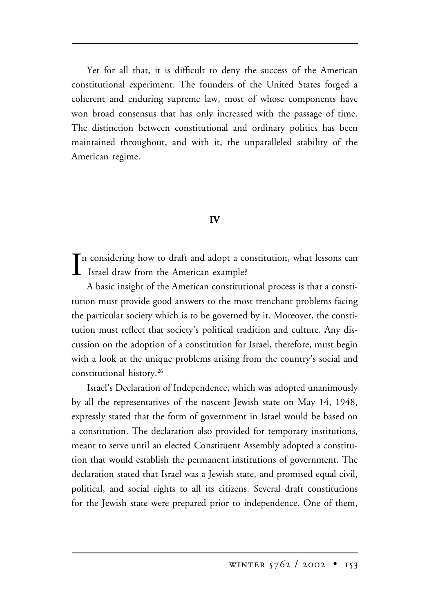Yet for all that, it is difficult to deny the success of the American constitutional experiment. The founders of the United States forged a coherent and enduring supreme law, most of whose components have won broad consensus that has only increased with the passage of time. The distinction between constitutional and ordinary politics has been maintained throughout, and with it, the unparalleled stability of the American regime.

#### **IV**

In considering how to draft and adopt a considering how to draft and adopt a consideration of the American example?  $\mathbf T$ n considering how to draft and adopt a constitution, what lessons can

A basic insight of the American constitutional process is that a constitution must provide good answers to the most trenchant problems facing the particular society which is to be governed by it. Moreover, the constitution must reflect that society's political tradition and culture. Any discussion on the adoption of a constitution for Israel, therefore, must begin with a look at the unique problems arising from the country's social and constitutional history.26

Israel's Declaration of Independence, which was adopted unanimously by all the representatives of the nascent Jewish state on May 14, 1948, expressly stated that the form of government in Israel would be based on a constitution. The declaration also provided for temporary institutions, meant to serve until an elected Constituent Assembly adopted a constitution that would establish the permanent institutions of government. The declaration stated that Israel was a Jewish state, and promised equal civil, political, and social rights to all its citizens. Several draft constitutions for the Jewish state were prepared prior to independence. One of them,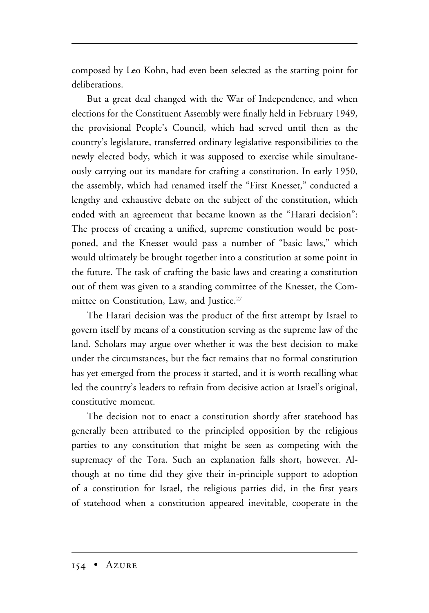composed by Leo Kohn, had even been selected as the starting point for deliberations.

But a great deal changed with the War of Independence, and when elections for the Constituent Assembly were finally held in February 1949, the provisional People's Council, which had served until then as the country's legislature, transferred ordinary legislative responsibilities to the newly elected body, which it was supposed to exercise while simultaneously carrying out its mandate for crafting a constitution. In early 1950, the assembly, which had renamed itself the "First Knesset," conducted a lengthy and exhaustive debate on the subject of the constitution, which ended with an agreement that became known as the "Harari decision": The process of creating a unified, supreme constitution would be postponed, and the Knesset would pass a number of "basic laws," which would ultimately be brought together into a constitution at some point in the future. The task of crafting the basic laws and creating a constitution out of them was given to a standing committee of the Knesset, the Committee on Constitution, Law, and Justice.<sup>27</sup>

The Harari decision was the product of the first attempt by Israel to govern itself by means of a constitution serving as the supreme law of the land. Scholars may argue over whether it was the best decision to make under the circumstances, but the fact remains that no formal constitution has yet emerged from the process it started, and it is worth recalling what led the country's leaders to refrain from decisive action at Israel's original, constitutive moment.

The decision not to enact a constitution shortly after statehood has generally been attributed to the principled opposition by the religious parties to any constitution that might be seen as competing with the supremacy of the Tora. Such an explanation falls short, however. Although at no time did they give their in-principle support to adoption of a constitution for Israel, the religious parties did, in the first years of statehood when a constitution appeared inevitable, cooperate in the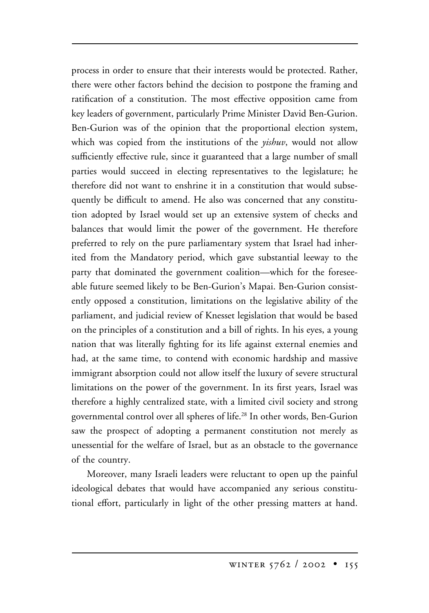process in order to ensure that their interests would be protected. Rather, there were other factors behind the decision to postpone the framing and ratification of a constitution. The most effective opposition came from key leaders of government, particularly Prime Minister David Ben-Gurion. Ben-Gurion was of the opinion that the proportional election system, which was copied from the institutions of the *yishuv*, would not allow sufficiently effective rule, since it guaranteed that a large number of small parties would succeed in electing representatives to the legislature; he therefore did not want to enshrine it in a constitution that would subsequently be difficult to amend. He also was concerned that any constitution adopted by Israel would set up an extensive system of checks and balances that would limit the power of the government. He therefore preferred to rely on the pure parliamentary system that Israel had inherited from the Mandatory period, which gave substantial leeway to the party that dominated the government coalition—which for the foreseeable future seemed likely to be Ben-Gurion's Mapai. Ben-Gurion consistently opposed a constitution, limitations on the legislative ability of the parliament, and judicial review of Knesset legislation that would be based on the principles of a constitution and a bill of rights. In his eyes, a young nation that was literally fighting for its life against external enemies and had, at the same time, to contend with economic hardship and massive immigrant absorption could not allow itself the luxury of severe structural limitations on the power of the government. In its first years, Israel was therefore a highly centralized state, with a limited civil society and strong governmental control over all spheres of life.28 In other words, Ben-Gurion saw the prospect of adopting a permanent constitution not merely as unessential for the welfare of Israel, but as an obstacle to the governance of the country.

Moreover, many Israeli leaders were reluctant to open up the painful ideological debates that would have accompanied any serious constitutional effort, particularly in light of the other pressing matters at hand.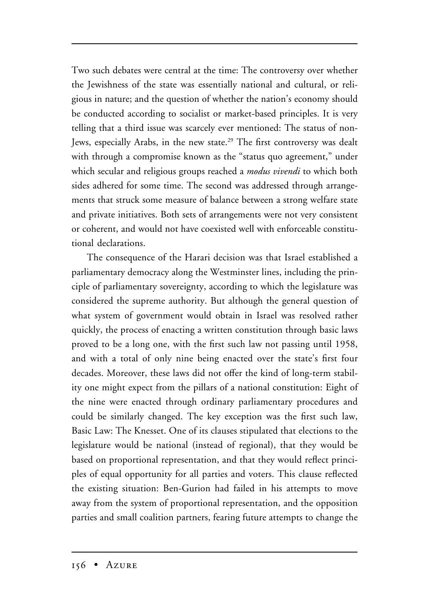Two such debates were central at the time: The controversy over whether the Jewishness of the state was essentially national and cultural, or religious in nature; and the question of whether the nation's economy should be conducted according to socialist or market-based principles. It is very telling that a third issue was scarcely ever mentioned: The status of non-Jews, especially Arabs, in the new state.<sup>29</sup> The first controversy was dealt with through a compromise known as the "status quo agreement," under which secular and religious groups reached a *modus vivendi* to which both sides adhered for some time. The second was addressed through arrangements that struck some measure of balance between a strong welfare state and private initiatives. Both sets of arrangements were not very consistent or coherent, and would not have coexisted well with enforceable constitutional declarations.

The consequence of the Harari decision was that Israel established a parliamentary democracy along the Westminster lines, including the principle of parliamentary sovereignty, according to which the legislature was considered the supreme authority. But although the general question of what system of government would obtain in Israel was resolved rather quickly, the process of enacting a written constitution through basic laws proved to be a long one, with the first such law not passing until 1958, and with a total of only nine being enacted over the state's first four decades. Moreover, these laws did not offer the kind of long-term stability one might expect from the pillars of a national constitution: Eight of the nine were enacted through ordinary parliamentary procedures and could be similarly changed. The key exception was the first such law, Basic Law: The Knesset. One of its clauses stipulated that elections to the legislature would be national (instead of regional), that they would be based on proportional representation, and that they would reflect principles of equal opportunity for all parties and voters. This clause reflected the existing situation: Ben-Gurion had failed in his attempts to move away from the system of proportional representation, and the opposition parties and small coalition partners, fearing future attempts to change the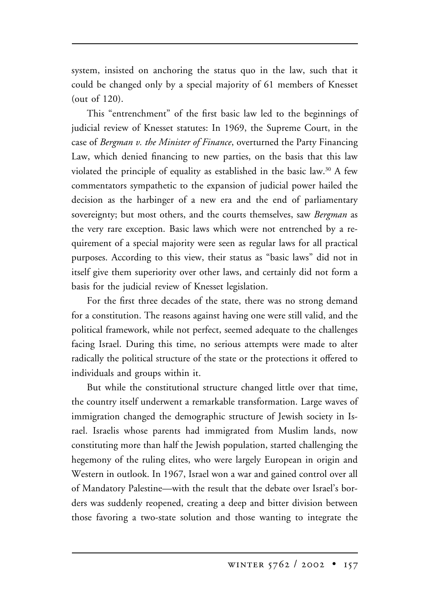system, insisted on anchoring the status quo in the law, such that it could be changed only by a special majority of 61 members of Knesset (out of 120).

This "entrenchment" of the first basic law led to the beginnings of judicial review of Knesset statutes: In 1969, the Supreme Court, in the case of *Bergman v. the Minister of Finance*, overturned the Party Financing Law, which denied financing to new parties, on the basis that this law violated the principle of equality as established in the basic law.<sup>30</sup> A few commentators sympathetic to the expansion of judicial power hailed the decision as the harbinger of a new era and the end of parliamentary sovereignty; but most others, and the courts themselves, saw *Bergman* as the very rare exception. Basic laws which were not entrenched by a requirement of a special majority were seen as regular laws for all practical purposes. According to this view, their status as "basic laws" did not in itself give them superiority over other laws, and certainly did not form a basis for the judicial review of Knesset legislation.

For the first three decades of the state, there was no strong demand for a constitution. The reasons against having one were still valid, and the political framework, while not perfect, seemed adequate to the challenges facing Israel. During this time, no serious attempts were made to alter radically the political structure of the state or the protections it offered to individuals and groups within it.

But while the constitutional structure changed little over that time, the country itself underwent a remarkable transformation. Large waves of immigration changed the demographic structure of Jewish society in Israel. Israelis whose parents had immigrated from Muslim lands, now constituting more than half the Jewish population, started challenging the hegemony of the ruling elites, who were largely European in origin and Western in outlook. In 1967, Israel won a war and gained control over all of Mandatory Palestine—with the result that the debate over Israel's borders was suddenly reopened, creating a deep and bitter division between those favoring a two-state solution and those wanting to integrate the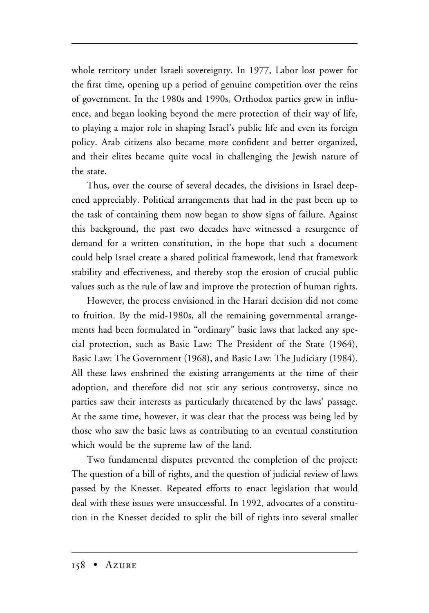whole territory under Israeli sovereignty. In 1977, Labor lost power for the first time, opening up a period of genuine competition over the reins of government. In the 1980s and 1990s, Orthodox parties grew in influence, and began looking beyond the mere protection of their way of life, to playing a major role in shaping Israel's public life and even its foreign policy. Arab citizens also became more confident and better organized, and their elites became quite vocal in challenging the Jewish nature of the state.

Thus, over the course of several decades, the divisions in Israel deepened appreciably. Political arrangements that had in the past been up to the task of containing them now began to show signs of failure. Against this background, the past two decades have witnessed a resurgence of demand for a written constitution, in the hope that such a document could help Israel create a shared political framework, lend that framework stability and effectiveness, and thereby stop the erosion of crucial public values such as the rule of law and improve the protection of human rights.

However, the process envisioned in the Harari decision did not come to fruition. By the mid-1980s, all the remaining governmental arrangements had been formulated in "ordinary" basic laws that lacked any special protection, such as Basic Law: The President of the State (1964), Basic Law: The Government (1968), and Basic Law: The Judiciary (1984). All these laws enshrined the existing arrangements at the time of their adoption, and therefore did not stir any serious controversy, since no parties saw their interests as particularly threatened by the laws' passage. At the same time, however, it was clear that the process was being led by those who saw the basic laws as contributing to an eventual constitution which would be the supreme law of the land.

Two fundamental disputes prevented the completion of the project: The question of a bill of rights, and the question of judicial review of laws passed by the Knesset. Repeated efforts to enact legislation that would deal with these issues were unsuccessful. In 1992, advocates of a constitution in the Knesset decided to split the bill of rights into several smaller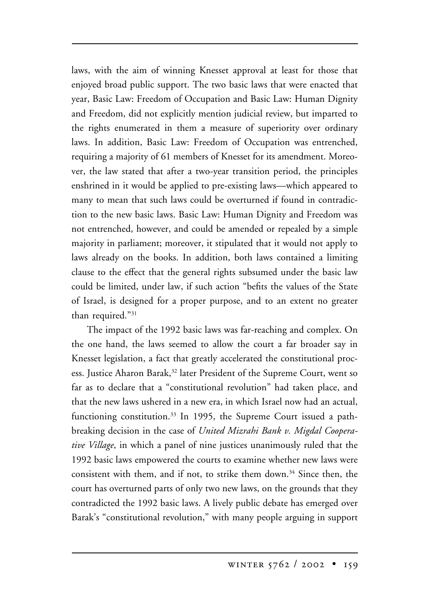laws, with the aim of winning Knesset approval at least for those that enjoyed broad public support. The two basic laws that were enacted that year, Basic Law: Freedom of Occupation and Basic Law: Human Dignity and Freedom, did not explicitly mention judicial review, but imparted to the rights enumerated in them a measure of superiority over ordinary laws. In addition, Basic Law: Freedom of Occupation was entrenched, requiring a majority of 61 members of Knesset for its amendment. Moreover, the law stated that after a two-year transition period, the principles enshrined in it would be applied to pre-existing laws—which appeared to many to mean that such laws could be overturned if found in contradiction to the new basic laws. Basic Law: Human Dignity and Freedom was not entrenched, however, and could be amended or repealed by a simple majority in parliament; moreover, it stipulated that it would not apply to laws already on the books. In addition, both laws contained a limiting clause to the effect that the general rights subsumed under the basic law could be limited, under law, if such action "befits the values of the State of Israel, is designed for a proper purpose, and to an extent no greater than required."31

The impact of the 1992 basic laws was far-reaching and complex. On the one hand, the laws seemed to allow the court a far broader say in Knesset legislation, a fact that greatly accelerated the constitutional process. Justice Aharon Barak,<sup>32</sup> later President of the Supreme Court, went so far as to declare that a "constitutional revolution" had taken place, and that the new laws ushered in a new era, in which Israel now had an actual, functioning constitution.<sup>33</sup> In 1995, the Supreme Court issued a pathbreaking decision in the case of *United Mizrahi Bank v. Migdal Cooperative Village*, in which a panel of nine justices unanimously ruled that the 1992 basic laws empowered the courts to examine whether new laws were consistent with them, and if not, to strike them down.<sup>34</sup> Since then, the court has overturned parts of only two new laws, on the grounds that they contradicted the 1992 basic laws. A lively public debate has emerged over Barak's "constitutional revolution," with many people arguing in support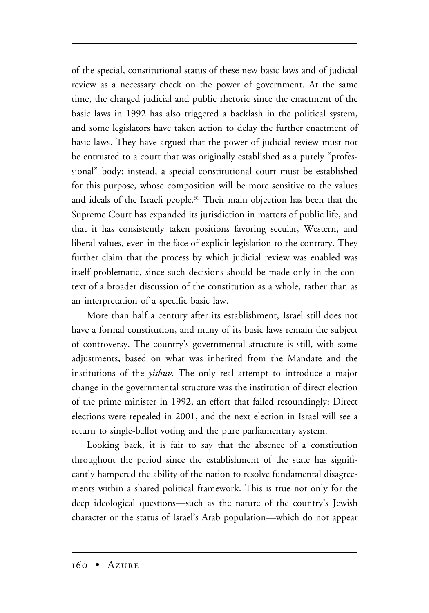of the special, constitutional status of these new basic laws and of judicial review as a necessary check on the power of government. At the same time, the charged judicial and public rhetoric since the enactment of the basic laws in 1992 has also triggered a backlash in the political system, and some legislators have taken action to delay the further enactment of basic laws. They have argued that the power of judicial review must not be entrusted to a court that was originally established as a purely "professional" body; instead, a special constitutional court must be established for this purpose, whose composition will be more sensitive to the values and ideals of the Israeli people.<sup>35</sup> Their main objection has been that the Supreme Court has expanded its jurisdiction in matters of public life, and that it has consistently taken positions favoring secular, Western, and liberal values, even in the face of explicit legislation to the contrary. They further claim that the process by which judicial review was enabled was itself problematic, since such decisions should be made only in the context of a broader discussion of the constitution as a whole, rather than as an interpretation of a specific basic law.

More than half a century after its establishment, Israel still does not have a formal constitution, and many of its basic laws remain the subject of controversy. The country's governmental structure is still, with some adjustments, based on what was inherited from the Mandate and the institutions of the *yishuv*. The only real attempt to introduce a major change in the governmental structure was the institution of direct election of the prime minister in 1992, an effort that failed resoundingly: Direct elections were repealed in 2001, and the next election in Israel will see a return to single-ballot voting and the pure parliamentary system.

Looking back, it is fair to say that the absence of a constitution throughout the period since the establishment of the state has significantly hampered the ability of the nation to resolve fundamental disagreements within a shared political framework. This is true not only for the deep ideological questions—such as the nature of the country's Jewish character or the status of Israel's Arab population—which do not appear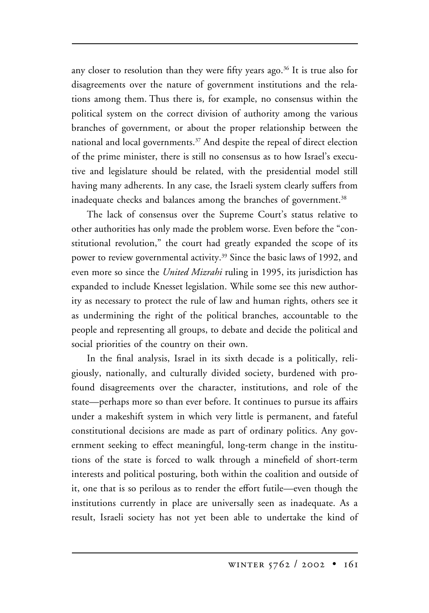any closer to resolution than they were fifty years ago.<sup>36</sup> It is true also for disagreements over the nature of government institutions and the relations among them. Thus there is, for example, no consensus within the political system on the correct division of authority among the various branches of government, or about the proper relationship between the national and local governments.<sup>37</sup> And despite the repeal of direct election of the prime minister, there is still no consensus as to how Israel's executive and legislature should be related, with the presidential model still having many adherents. In any case, the Israeli system clearly suffers from inadequate checks and balances among the branches of government.<sup>38</sup>

The lack of consensus over the Supreme Court's status relative to other authorities has only made the problem worse. Even before the "constitutional revolution," the court had greatly expanded the scope of its power to review governmental activity.<sup>39</sup> Since the basic laws of 1992, and even more so since the *United Mizrahi* ruling in 1995, its jurisdiction has expanded to include Knesset legislation. While some see this new authority as necessary to protect the rule of law and human rights, others see it as undermining the right of the political branches, accountable to the people and representing all groups, to debate and decide the political and social priorities of the country on their own.

In the final analysis, Israel in its sixth decade is a politically, religiously, nationally, and culturally divided society, burdened with profound disagreements over the character, institutions, and role of the state—perhaps more so than ever before. It continues to pursue its affairs under a makeshift system in which very little is permanent, and fateful constitutional decisions are made as part of ordinary politics. Any government seeking to effect meaningful, long-term change in the institutions of the state is forced to walk through a minefield of short-term interests and political posturing, both within the coalition and outside of it, one that is so perilous as to render the effort futile—even though the institutions currently in place are universally seen as inadequate. As a result, Israeli society has not yet been able to undertake the kind of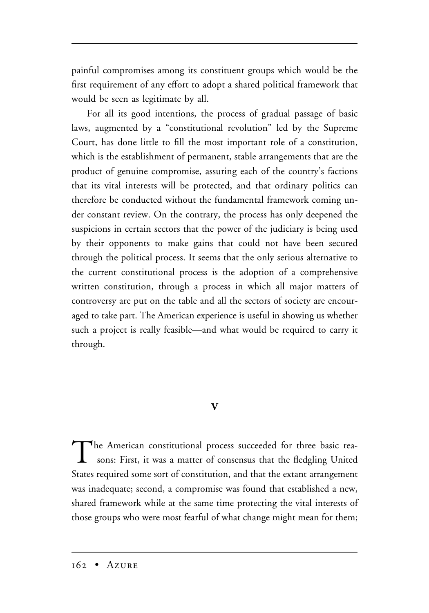painful compromises among its constituent groups which would be the first requirement of any effort to adopt a shared political framework that would be seen as legitimate by all.

For all its good intentions, the process of gradual passage of basic laws, augmented by a "constitutional revolution" led by the Supreme Court, has done little to fill the most important role of a constitution, which is the establishment of permanent, stable arrangements that are the product of genuine compromise, assuring each of the country's factions that its vital interests will be protected, and that ordinary politics can therefore be conducted without the fundamental framework coming under constant review. On the contrary, the process has only deepened the suspicions in certain sectors that the power of the judiciary is being used by their opponents to make gains that could not have been secured through the political process. It seems that the only serious alternative to the current constitutional process is the adoption of a comprehensive written constitution, through a process in which all major matters of controversy are put on the table and all the sectors of society are encouraged to take part. The American experience is useful in showing us whether such a project is really feasible—and what would be required to carry it through.

# **V**

The American constitutional process succeeded for three basic reasons: First, it was a matter of consensus that the fledgling United States required some sort of constitution, and that the extant arrangement was inadequate; second, a compromise was found that established a new, shared framework while at the same time protecting the vital interests of those groups who were most fearful of what change might mean for them;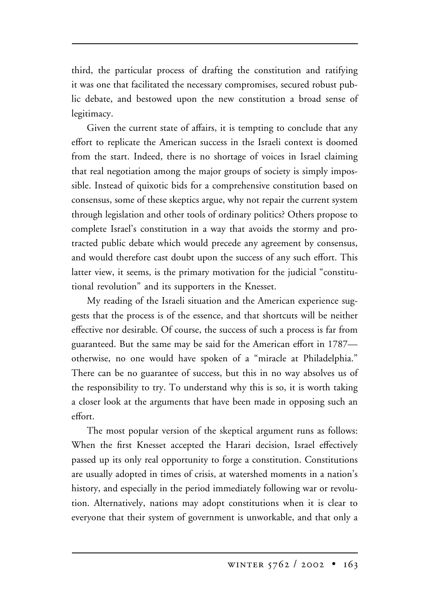third, the particular process of drafting the constitution and ratifying it was one that facilitated the necessary compromises, secured robust public debate, and bestowed upon the new constitution a broad sense of legitimacy.

Given the current state of affairs, it is tempting to conclude that any effort to replicate the American success in the Israeli context is doomed from the start. Indeed, there is no shortage of voices in Israel claiming that real negotiation among the major groups of society is simply impossible. Instead of quixotic bids for a comprehensive constitution based on consensus, some of these skeptics argue, why not repair the current system through legislation and other tools of ordinary politics? Others propose to complete Israel's constitution in a way that avoids the stormy and protracted public debate which would precede any agreement by consensus, and would therefore cast doubt upon the success of any such effort. This latter view, it seems, is the primary motivation for the judicial "constitutional revolution" and its supporters in the Knesset.

My reading of the Israeli situation and the American experience suggests that the process is of the essence, and that shortcuts will be neither effective nor desirable. Of course, the success of such a process is far from guaranteed. But the same may be said for the American effort in 1787 otherwise, no one would have spoken of a "miracle at Philadelphia." There can be no guarantee of success, but this in no way absolves us of the responsibility to try. To understand why this is so, it is worth taking a closer look at the arguments that have been made in opposing such an effort.

The most popular version of the skeptical argument runs as follows: When the first Knesset accepted the Harari decision, Israel effectively passed up its only real opportunity to forge a constitution. Constitutions are usually adopted in times of crisis, at watershed moments in a nation's history, and especially in the period immediately following war or revolution. Alternatively, nations may adopt constitutions when it is clear to everyone that their system of government is unworkable, and that only a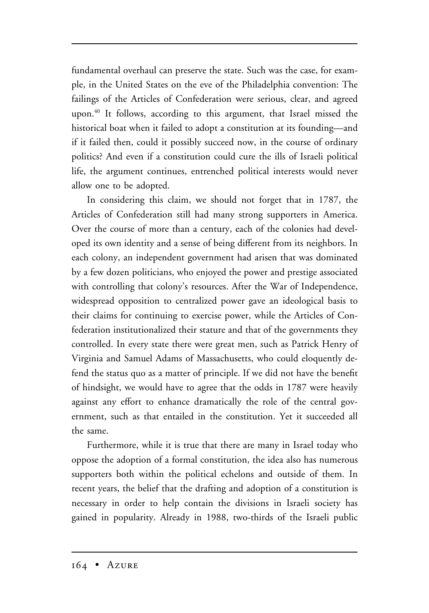fundamental overhaul can preserve the state. Such was the case, for example, in the United States on the eve of the Philadelphia convention: The failings of the Articles of Confederation were serious, clear, and agreed upon.40 It follows, according to this argument, that Israel missed the historical boat when it failed to adopt a constitution at its founding—and if it failed then, could it possibly succeed now, in the course of ordinary politics? And even if a constitution could cure the ills of Israeli political life, the argument continues, entrenched political interests would never allow one to be adopted.

In considering this claim, we should not forget that in 1787, the Articles of Confederation still had many strong supporters in America. Over the course of more than a century, each of the colonies had developed its own identity and a sense of being different from its neighbors. In each colony, an independent government had arisen that was dominated by a few dozen politicians, who enjoyed the power and prestige associated with controlling that colony's resources. After the War of Independence, widespread opposition to centralized power gave an ideological basis to their claims for continuing to exercise power, while the Articles of Confederation institutionalized their stature and that of the governments they controlled. In every state there were great men, such as Patrick Henry of Virginia and Samuel Adams of Massachusetts, who could eloquently defend the status quo as a matter of principle. If we did not have the benefit of hindsight, we would have to agree that the odds in 1787 were heavily against any effort to enhance dramatically the role of the central government, such as that entailed in the constitution. Yet it succeeded all the same.

Furthermore, while it is true that there are many in Israel today who oppose the adoption of a formal constitution, the idea also has numerous supporters both within the political echelons and outside of them. In recent years, the belief that the drafting and adoption of a constitution is necessary in order to help contain the divisions in Israeli society has gained in popularity. Already in 1988, two-thirds of the Israeli public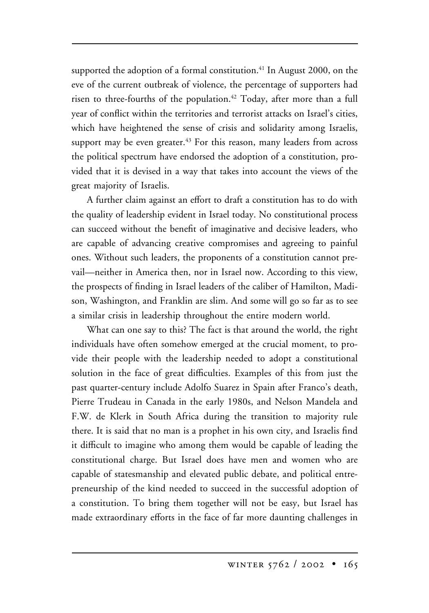supported the adoption of a formal constitution.<sup>41</sup> In August 2000, on the eve of the current outbreak of violence, the percentage of supporters had risen to three-fourths of the population.<sup>42</sup> Today, after more than a full year of conflict within the territories and terrorist attacks on Israel's cities, which have heightened the sense of crisis and solidarity among Israelis, support may be even greater.<sup>43</sup> For this reason, many leaders from across the political spectrum have endorsed the adoption of a constitution, provided that it is devised in a way that takes into account the views of the great majority of Israelis.

A further claim against an effort to draft a constitution has to do with the quality of leadership evident in Israel today. No constitutional process can succeed without the benefit of imaginative and decisive leaders, who are capable of advancing creative compromises and agreeing to painful ones. Without such leaders, the proponents of a constitution cannot prevail—neither in America then, nor in Israel now. According to this view, the prospects of finding in Israel leaders of the caliber of Hamilton, Madison, Washington, and Franklin are slim. And some will go so far as to see a similar crisis in leadership throughout the entire modern world.

What can one say to this? The fact is that around the world, the right individuals have often somehow emerged at the crucial moment, to provide their people with the leadership needed to adopt a constitutional solution in the face of great difficulties. Examples of this from just the past quarter-century include Adolfo Suarez in Spain after Franco's death, Pierre Trudeau in Canada in the early 1980s, and Nelson Mandela and F.W. de Klerk in South Africa during the transition to majority rule there. It is said that no man is a prophet in his own city, and Israelis find it difficult to imagine who among them would be capable of leading the constitutional charge. But Israel does have men and women who are capable of statesmanship and elevated public debate, and political entrepreneurship of the kind needed to succeed in the successful adoption of a constitution. To bring them together will not be easy, but Israel has made extraordinary efforts in the face of far more daunting challenges in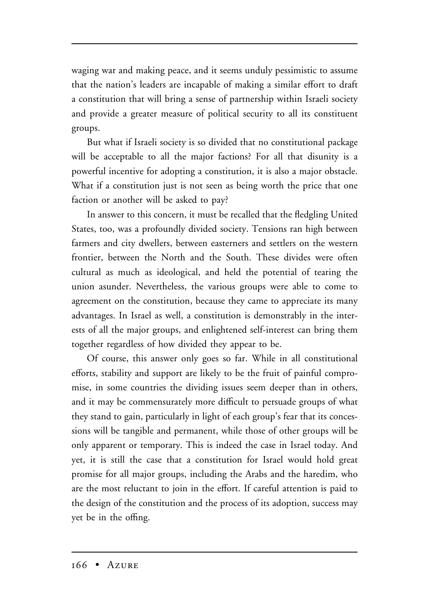waging war and making peace, and it seems unduly pessimistic to assume that the nation's leaders are incapable of making a similar effort to draft a constitution that will bring a sense of partnership within Israeli society and provide a greater measure of political security to all its constituent groups.

But what if Israeli society is so divided that no constitutional package will be acceptable to all the major factions? For all that disunity is a powerful incentive for adopting a constitution, it is also a major obstacle. What if a constitution just is not seen as being worth the price that one faction or another will be asked to pay?

In answer to this concern, it must be recalled that the fledgling United States, too, was a profoundly divided society. Tensions ran high between farmers and city dwellers, between easterners and settlers on the western frontier, between the North and the South. These divides were often cultural as much as ideological, and held the potential of tearing the union asunder. Nevertheless, the various groups were able to come to agreement on the constitution, because they came to appreciate its many advantages. In Israel as well, a constitution is demonstrably in the interests of all the major groups, and enlightened self-interest can bring them together regardless of how divided they appear to be.

Of course, this answer only goes so far. While in all constitutional efforts, stability and support are likely to be the fruit of painful compromise, in some countries the dividing issues seem deeper than in others, and it may be commensurately more difficult to persuade groups of what they stand to gain, particularly in light of each group's fear that its concessions will be tangible and permanent, while those of other groups will be only apparent or temporary. This is indeed the case in Israel today. And yet, it is still the case that a constitution for Israel would hold great promise for all major groups, including the Arabs and the haredim, who are the most reluctant to join in the effort. If careful attention is paid to the design of the constitution and the process of its adoption, success may yet be in the offing.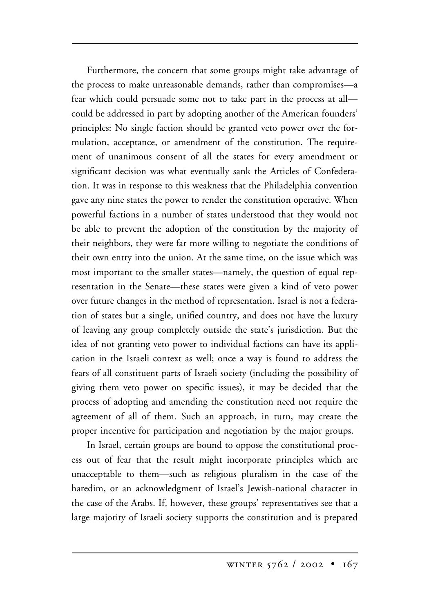Furthermore, the concern that some groups might take advantage of the process to make unreasonable demands, rather than compromises—a fear which could persuade some not to take part in the process at all could be addressed in part by adopting another of the American founders' principles: No single faction should be granted veto power over the formulation, acceptance, or amendment of the constitution. The requirement of unanimous consent of all the states for every amendment or significant decision was what eventually sank the Articles of Confederation. It was in response to this weakness that the Philadelphia convention gave any nine states the power to render the constitution operative. When powerful factions in a number of states understood that they would not be able to prevent the adoption of the constitution by the majority of their neighbors, they were far more willing to negotiate the conditions of their own entry into the union. At the same time, on the issue which was most important to the smaller states—namely, the question of equal representation in the Senate—these states were given a kind of veto power over future changes in the method of representation. Israel is not a federation of states but a single, unified country, and does not have the luxury of leaving any group completely outside the state's jurisdiction. But the idea of not granting veto power to individual factions can have its application in the Israeli context as well; once a way is found to address the fears of all constituent parts of Israeli society (including the possibility of giving them veto power on specific issues), it may be decided that the process of adopting and amending the constitution need not require the agreement of all of them. Such an approach, in turn, may create the proper incentive for participation and negotiation by the major groups.

In Israel, certain groups are bound to oppose the constitutional process out of fear that the result might incorporate principles which are unacceptable to them—such as religious pluralism in the case of the haredim, or an acknowledgment of Israel's Jewish-national character in the case of the Arabs. If, however, these groups' representatives see that a large majority of Israeli society supports the constitution and is prepared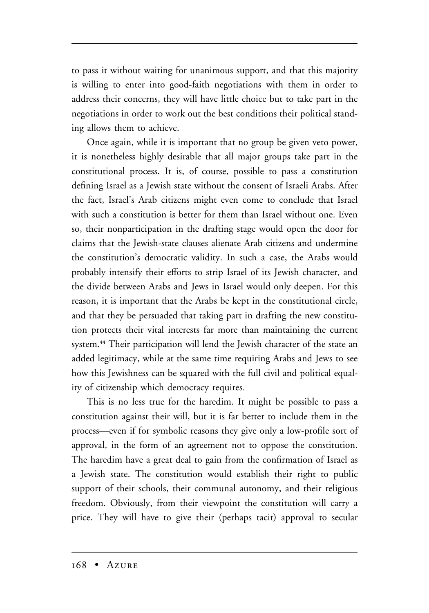to pass it without waiting for unanimous support, and that this majority is willing to enter into good-faith negotiations with them in order to address their concerns, they will have little choice but to take part in the negotiations in order to work out the best conditions their political standing allows them to achieve.

Once again, while it is important that no group be given veto power, it is nonetheless highly desirable that all major groups take part in the constitutional process. It is, of course, possible to pass a constitution defining Israel as a Jewish state without the consent of Israeli Arabs. After the fact, Israel's Arab citizens might even come to conclude that Israel with such a constitution is better for them than Israel without one. Even so, their nonparticipation in the drafting stage would open the door for claims that the Jewish-state clauses alienate Arab citizens and undermine the constitution's democratic validity. In such a case, the Arabs would probably intensify their efforts to strip Israel of its Jewish character, and the divide between Arabs and Jews in Israel would only deepen. For this reason, it is important that the Arabs be kept in the constitutional circle, and that they be persuaded that taking part in drafting the new constitution protects their vital interests far more than maintaining the current system.<sup>44</sup> Their participation will lend the Jewish character of the state an added legitimacy, while at the same time requiring Arabs and Jews to see how this Jewishness can be squared with the full civil and political equality of citizenship which democracy requires.

This is no less true for the haredim. It might be possible to pass a constitution against their will, but it is far better to include them in the process—even if for symbolic reasons they give only a low-profile sort of approval, in the form of an agreement not to oppose the constitution. The haredim have a great deal to gain from the confirmation of Israel as a Jewish state. The constitution would establish their right to public support of their schools, their communal autonomy, and their religious freedom. Obviously, from their viewpoint the constitution will carry a price. They will have to give their (perhaps tacit) approval to secular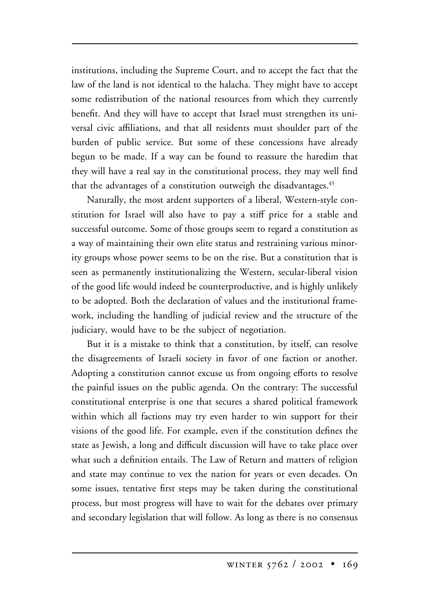institutions, including the Supreme Court, and to accept the fact that the law of the land is not identical to the halacha. They might have to accept some redistribution of the national resources from which they currently benefit. And they will have to accept that Israel must strengthen its universal civic affiliations, and that all residents must shoulder part of the burden of public service. But some of these concessions have already begun to be made. If a way can be found to reassure the haredim that they will have a real say in the constitutional process, they may well find that the advantages of a constitution outweigh the disadvantages.<sup>45</sup>

Naturally, the most ardent supporters of a liberal, Western-style constitution for Israel will also have to pay a stiff price for a stable and successful outcome. Some of those groups seem to regard a constitution as a way of maintaining their own elite status and restraining various minority groups whose power seems to be on the rise. But a constitution that is seen as permanently institutionalizing the Western, secular-liberal vision of the good life would indeed be counterproductive, and is highly unlikely to be adopted. Both the declaration of values and the institutional framework, including the handling of judicial review and the structure of the judiciary, would have to be the subject of negotiation.

But it is a mistake to think that a constitution, by itself, can resolve the disagreements of Israeli society in favor of one faction or another. Adopting a constitution cannot excuse us from ongoing efforts to resolve the painful issues on the public agenda. On the contrary: The successful constitutional enterprise is one that secures a shared political framework within which all factions may try even harder to win support for their visions of the good life. For example, even if the constitution defines the state as Jewish, a long and difficult discussion will have to take place over what such a definition entails. The Law of Return and matters of religion and state may continue to vex the nation for years or even decades. On some issues, tentative first steps may be taken during the constitutional process, but most progress will have to wait for the debates over primary and secondary legislation that will follow. As long as there is no consensus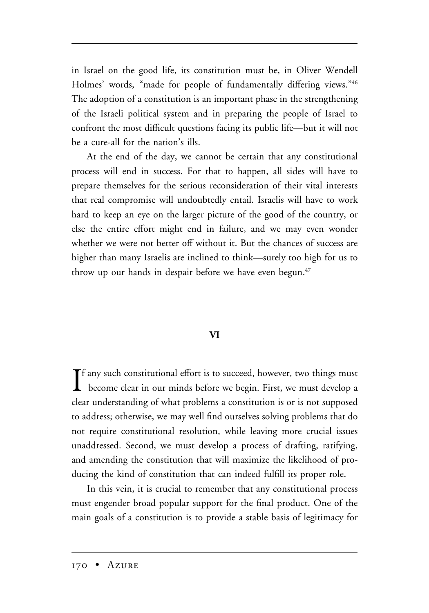in Israel on the good life, its constitution must be, in Oliver Wendell Holmes' words, "made for people of fundamentally differing views."46 The adoption of a constitution is an important phase in the strengthening of the Israeli political system and in preparing the people of Israel to confront the most difficult questions facing its public life—but it will not be a cure-all for the nation's ills.

At the end of the day, we cannot be certain that any constitutional process will end in success. For that to happen, all sides will have to prepare themselves for the serious reconsideration of their vital interests that real compromise will undoubtedly entail. Israelis will have to work hard to keep an eye on the larger picture of the good of the country, or else the entire effort might end in failure, and we may even wonder whether we were not better off without it. But the chances of success are higher than many Israelis are inclined to think—surely too high for us to throw up our hands in despair before we have even begun. $47$ 

## **VI**

If any such constitutional effort is to succeed, however, two things must<br>become clear in our minds before we begin. First, we must develop a Tf any such constitutional effort is to succeed, however, two things must clear understanding of what problems a constitution is or is not supposed to address; otherwise, we may well find ourselves solving problems that do not require constitutional resolution, while leaving more crucial issues unaddressed. Second, we must develop a process of drafting, ratifying, and amending the constitution that will maximize the likelihood of producing the kind of constitution that can indeed fulfill its proper role.

In this vein, it is crucial to remember that any constitutional process must engender broad popular support for the final product. One of the main goals of a constitution is to provide a stable basis of legitimacy for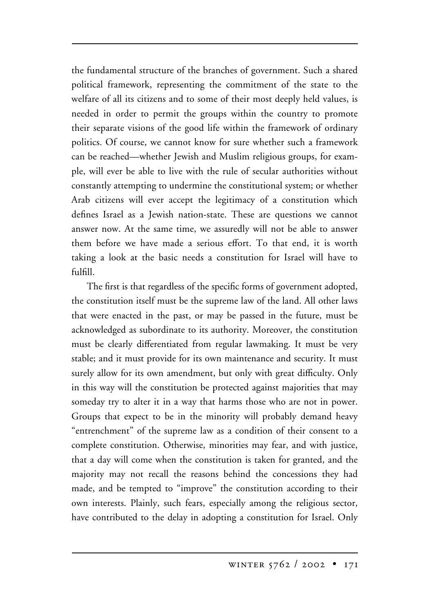the fundamental structure of the branches of government. Such a shared political framework, representing the commitment of the state to the welfare of all its citizens and to some of their most deeply held values, is needed in order to permit the groups within the country to promote their separate visions of the good life within the framework of ordinary politics. Of course, we cannot know for sure whether such a framework can be reached—whether Jewish and Muslim religious groups, for example, will ever be able to live with the rule of secular authorities without constantly attempting to undermine the constitutional system; or whether Arab citizens will ever accept the legitimacy of a constitution which defines Israel as a Jewish nation-state. These are questions we cannot answer now. At the same time, we assuredly will not be able to answer them before we have made a serious effort. To that end, it is worth taking a look at the basic needs a constitution for Israel will have to fulfill.

The first is that regardless of the specific forms of government adopted, the constitution itself must be the supreme law of the land. All other laws that were enacted in the past, or may be passed in the future, must be acknowledged as subordinate to its authority. Moreover, the constitution must be clearly differentiated from regular lawmaking. It must be very stable; and it must provide for its own maintenance and security. It must surely allow for its own amendment, but only with great difficulty. Only in this way will the constitution be protected against majorities that may someday try to alter it in a way that harms those who are not in power. Groups that expect to be in the minority will probably demand heavy "entrenchment" of the supreme law as a condition of their consent to a complete constitution. Otherwise, minorities may fear, and with justice, that a day will come when the constitution is taken for granted, and the majority may not recall the reasons behind the concessions they had made, and be tempted to "improve" the constitution according to their own interests. Plainly, such fears, especially among the religious sector, have contributed to the delay in adopting a constitution for Israel. Only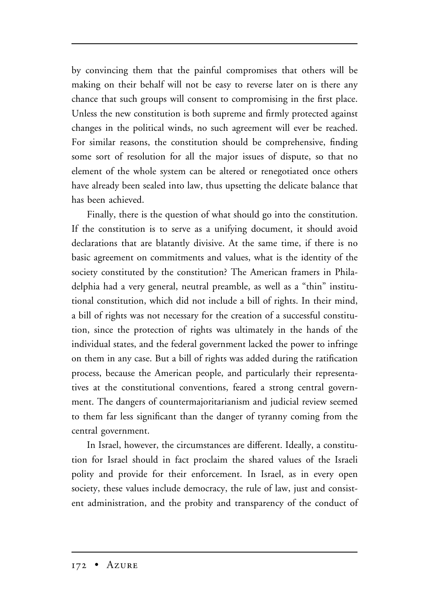by convincing them that the painful compromises that others will be making on their behalf will not be easy to reverse later on is there any chance that such groups will consent to compromising in the first place. Unless the new constitution is both supreme and firmly protected against changes in the political winds, no such agreement will ever be reached. For similar reasons, the constitution should be comprehensive, finding some sort of resolution for all the major issues of dispute, so that no element of the whole system can be altered or renegotiated once others have already been sealed into law, thus upsetting the delicate balance that has been achieved.

Finally, there is the question of what should go into the constitution. If the constitution is to serve as a unifying document, it should avoid declarations that are blatantly divisive. At the same time, if there is no basic agreement on commitments and values, what is the identity of the society constituted by the constitution? The American framers in Philadelphia had a very general, neutral preamble, as well as a "thin" institutional constitution, which did not include a bill of rights. In their mind, a bill of rights was not necessary for the creation of a successful constitution, since the protection of rights was ultimately in the hands of the individual states, and the federal government lacked the power to infringe on them in any case. But a bill of rights was added during the ratification process, because the American people, and particularly their representatives at the constitutional conventions, feared a strong central government. The dangers of countermajoritarianism and judicial review seemed to them far less significant than the danger of tyranny coming from the central government.

In Israel, however, the circumstances are different. Ideally, a constitution for Israel should in fact proclaim the shared values of the Israeli polity and provide for their enforcement. In Israel, as in every open society, these values include democracy, the rule of law, just and consistent administration, and the probity and transparency of the conduct of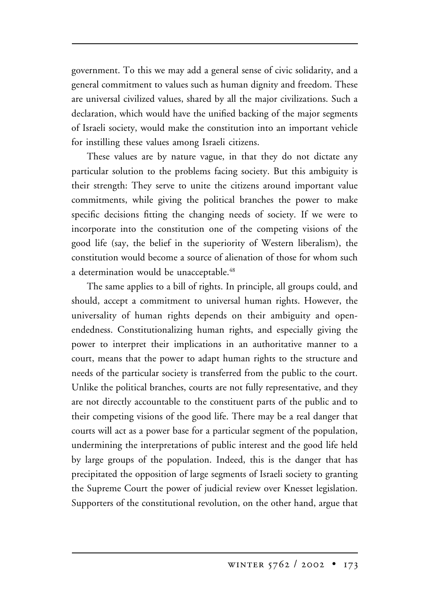government. To this we may add a general sense of civic solidarity, and a general commitment to values such as human dignity and freedom. These are universal civilized values, shared by all the major civilizations. Such a declaration, which would have the unified backing of the major segments of Israeli society, would make the constitution into an important vehicle for instilling these values among Israeli citizens.

These values are by nature vague, in that they do not dictate any particular solution to the problems facing society. But this ambiguity is their strength: They serve to unite the citizens around important value commitments, while giving the political branches the power to make specific decisions fitting the changing needs of society. If we were to incorporate into the constitution one of the competing visions of the good life (say, the belief in the superiority of Western liberalism), the constitution would become a source of alienation of those for whom such a determination would be unacceptable.<sup>48</sup>

The same applies to a bill of rights. In principle, all groups could, and should, accept a commitment to universal human rights. However, the universality of human rights depends on their ambiguity and openendedness. Constitutionalizing human rights, and especially giving the power to interpret their implications in an authoritative manner to a court, means that the power to adapt human rights to the structure and needs of the particular society is transferred from the public to the court. Unlike the political branches, courts are not fully representative, and they are not directly accountable to the constituent parts of the public and to their competing visions of the good life. There may be a real danger that courts will act as a power base for a particular segment of the population, undermining the interpretations of public interest and the good life held by large groups of the population. Indeed, this is the danger that has precipitated the opposition of large segments of Israeli society to granting the Supreme Court the power of judicial review over Knesset legislation. Supporters of the constitutional revolution, on the other hand, argue that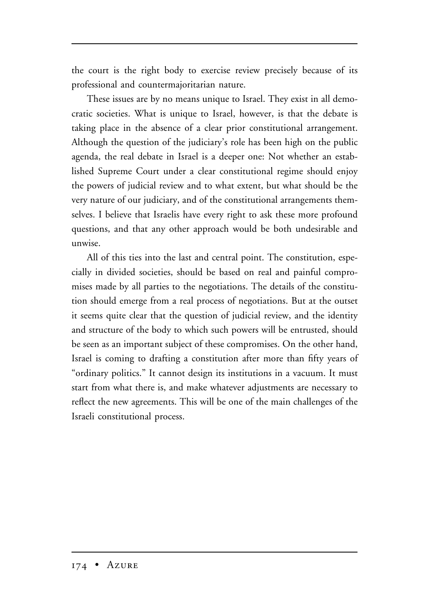the court is the right body to exercise review precisely because of its professional and countermajoritarian nature.

These issues are by no means unique to Israel. They exist in all democratic societies. What is unique to Israel, however, is that the debate is taking place in the absence of a clear prior constitutional arrangement. Although the question of the judiciary's role has been high on the public agenda, the real debate in Israel is a deeper one: Not whether an established Supreme Court under a clear constitutional regime should enjoy the powers of judicial review and to what extent, but what should be the very nature of our judiciary, and of the constitutional arrangements themselves. I believe that Israelis have every right to ask these more profound questions, and that any other approach would be both undesirable and unwise.

All of this ties into the last and central point. The constitution, especially in divided societies, should be based on real and painful compromises made by all parties to the negotiations. The details of the constitution should emerge from a real process of negotiations. But at the outset it seems quite clear that the question of judicial review, and the identity and structure of the body to which such powers will be entrusted, should be seen as an important subject of these compromises. On the other hand, Israel is coming to drafting a constitution after more than fifty years of "ordinary politics." It cannot design its institutions in a vacuum. It must start from what there is, and make whatever adjustments are necessary to reflect the new agreements. This will be one of the main challenges of the Israeli constitutional process.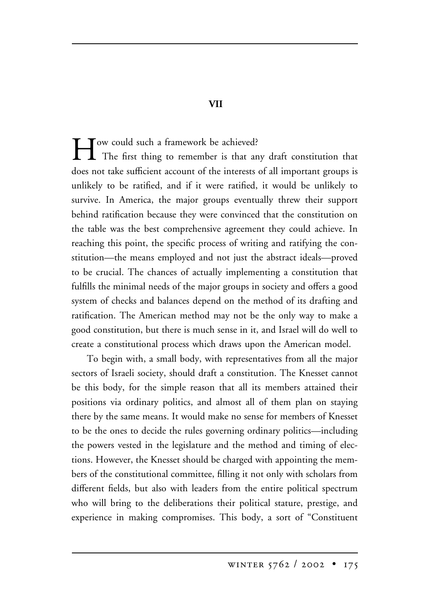How could such a framework be achieved? The first thing to remember is that any draft constitution that does not take sufficient account of the interests of all important groups is unlikely to be ratified, and if it were ratified, it would be unlikely to survive. In America, the major groups eventually threw their support behind ratification because they were convinced that the constitution on the table was the best comprehensive agreement they could achieve. In reaching this point, the specific process of writing and ratifying the constitution—the means employed and not just the abstract ideals—proved to be crucial. The chances of actually implementing a constitution that fulfills the minimal needs of the major groups in society and offers a good system of checks and balances depend on the method of its drafting and ratification. The American method may not be the only way to make a good constitution, but there is much sense in it, and Israel will do well to create a constitutional process which draws upon the American model.

To begin with, a small body, with representatives from all the major sectors of Israeli society, should draft a constitution. The Knesset cannot be this body, for the simple reason that all its members attained their positions via ordinary politics, and almost all of them plan on staying there by the same means. It would make no sense for members of Knesset to be the ones to decide the rules governing ordinary politics—including the powers vested in the legislature and the method and timing of elections. However, the Knesset should be charged with appointing the members of the constitutional committee, filling it not only with scholars from different fields, but also with leaders from the entire political spectrum who will bring to the deliberations their political stature, prestige, and experience in making compromises. This body, a sort of "Constituent

 **VII**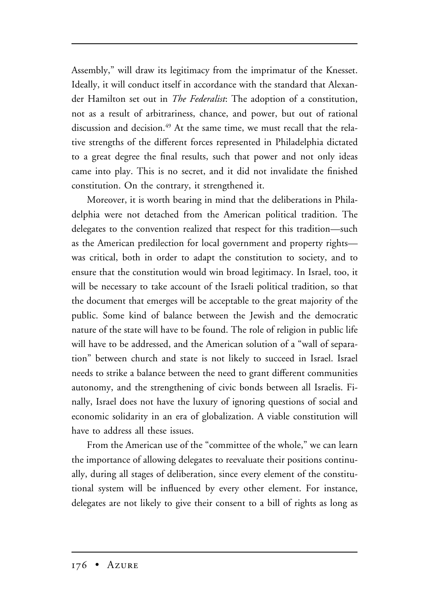Assembly," will draw its legitimacy from the imprimatur of the Knesset. Ideally, it will conduct itself in accordance with the standard that Alexander Hamilton set out in *The Federalist*: The adoption of a constitution, not as a result of arbitrariness, chance, and power, but out of rational discussion and decision.<sup>49</sup> At the same time, we must recall that the relative strengths of the different forces represented in Philadelphia dictated to a great degree the final results, such that power and not only ideas came into play. This is no secret, and it did not invalidate the finished constitution. On the contrary, it strengthened it.

Moreover, it is worth bearing in mind that the deliberations in Philadelphia were not detached from the American political tradition. The delegates to the convention realized that respect for this tradition—such as the American predilection for local government and property rights was critical, both in order to adapt the constitution to society, and to ensure that the constitution would win broad legitimacy. In Israel, too, it will be necessary to take account of the Israeli political tradition, so that the document that emerges will be acceptable to the great majority of the public. Some kind of balance between the Jewish and the democratic nature of the state will have to be found. The role of religion in public life will have to be addressed, and the American solution of a "wall of separation" between church and state is not likely to succeed in Israel. Israel needs to strike a balance between the need to grant different communities autonomy, and the strengthening of civic bonds between all Israelis. Finally, Israel does not have the luxury of ignoring questions of social and economic solidarity in an era of globalization. A viable constitution will have to address all these issues.

From the American use of the "committee of the whole," we can learn the importance of allowing delegates to reevaluate their positions continually, during all stages of deliberation, since every element of the constitutional system will be influenced by every other element. For instance, delegates are not likely to give their consent to a bill of rights as long as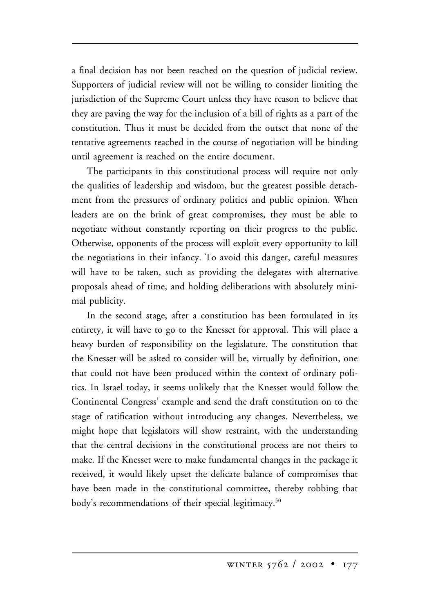a final decision has not been reached on the question of judicial review. Supporters of judicial review will not be willing to consider limiting the jurisdiction of the Supreme Court unless they have reason to believe that they are paving the way for the inclusion of a bill of rights as a part of the constitution. Thus it must be decided from the outset that none of the tentative agreements reached in the course of negotiation will be binding until agreement is reached on the entire document.

The participants in this constitutional process will require not only the qualities of leadership and wisdom, but the greatest possible detachment from the pressures of ordinary politics and public opinion. When leaders are on the brink of great compromises, they must be able to negotiate without constantly reporting on their progress to the public. Otherwise, opponents of the process will exploit every opportunity to kill the negotiations in their infancy. To avoid this danger, careful measures will have to be taken, such as providing the delegates with alternative proposals ahead of time, and holding deliberations with absolutely minimal publicity.

In the second stage, after a constitution has been formulated in its entirety, it will have to go to the Knesset for approval. This will place a heavy burden of responsibility on the legislature. The constitution that the Knesset will be asked to consider will be, virtually by definition, one that could not have been produced within the context of ordinary politics. In Israel today, it seems unlikely that the Knesset would follow the Continental Congress' example and send the draft constitution on to the stage of ratification without introducing any changes. Nevertheless, we might hope that legislators will show restraint, with the understanding that the central decisions in the constitutional process are not theirs to make. If the Knesset were to make fundamental changes in the package it received, it would likely upset the delicate balance of compromises that have been made in the constitutional committee, thereby robbing that body's recommendations of their special legitimacy.<sup>50</sup>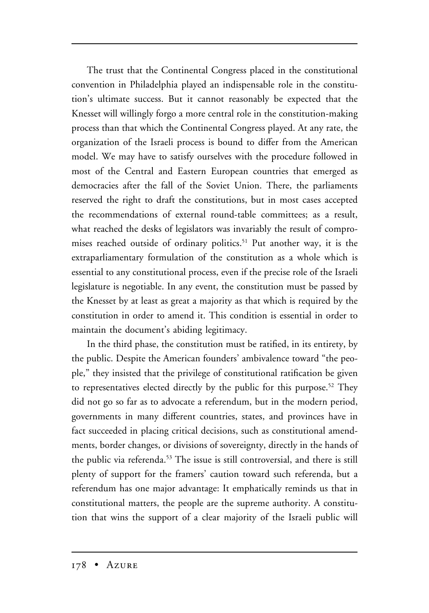The trust that the Continental Congress placed in the constitutional convention in Philadelphia played an indispensable role in the constitution's ultimate success. But it cannot reasonably be expected that the Knesset will willingly forgo a more central role in the constitution-making process than that which the Continental Congress played. At any rate, the organization of the Israeli process is bound to differ from the American model. We may have to satisfy ourselves with the procedure followed in most of the Central and Eastern European countries that emerged as democracies after the fall of the Soviet Union. There, the parliaments reserved the right to draft the constitutions, but in most cases accepted the recommendations of external round-table committees; as a result, what reached the desks of legislators was invariably the result of compromises reached outside of ordinary politics.<sup>51</sup> Put another way, it is the extraparliamentary formulation of the constitution as a whole which is essential to any constitutional process, even if the precise role of the Israeli legislature is negotiable. In any event, the constitution must be passed by the Knesset by at least as great a majority as that which is required by the constitution in order to amend it. This condition is essential in order to maintain the document's abiding legitimacy.

In the third phase, the constitution must be ratified, in its entirety, by the public. Despite the American founders' ambivalence toward "the people," they insisted that the privilege of constitutional ratification be given to representatives elected directly by the public for this purpose.<sup>52</sup> They did not go so far as to advocate a referendum, but in the modern period, governments in many different countries, states, and provinces have in fact succeeded in placing critical decisions, such as constitutional amendments, border changes, or divisions of sovereignty, directly in the hands of the public via referenda.<sup>53</sup> The issue is still controversial, and there is still plenty of support for the framers' caution toward such referenda, but a referendum has one major advantage: It emphatically reminds us that in constitutional matters, the people are the supreme authority. A constitution that wins the support of a clear majority of the Israeli public will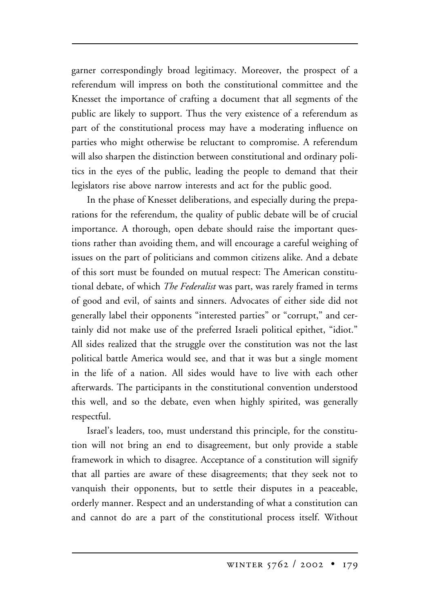garner correspondingly broad legitimacy. Moreover, the prospect of a referendum will impress on both the constitutional committee and the Knesset the importance of crafting a document that all segments of the public are likely to support. Thus the very existence of a referendum as part of the constitutional process may have a moderating influence on parties who might otherwise be reluctant to compromise. A referendum will also sharpen the distinction between constitutional and ordinary politics in the eyes of the public, leading the people to demand that their legislators rise above narrow interests and act for the public good.

In the phase of Knesset deliberations, and especially during the preparations for the referendum, the quality of public debate will be of crucial importance. A thorough, open debate should raise the important questions rather than avoiding them, and will encourage a careful weighing of issues on the part of politicians and common citizens alike. And a debate of this sort must be founded on mutual respect: The American constitutional debate, of which *The Federalist* was part, was rarely framed in terms of good and evil, of saints and sinners. Advocates of either side did not generally label their opponents "interested parties" or "corrupt," and certainly did not make use of the preferred Israeli political epithet, "idiot." All sides realized that the struggle over the constitution was not the last political battle America would see, and that it was but a single moment in the life of a nation. All sides would have to live with each other afterwards. The participants in the constitutional convention understood this well, and so the debate, even when highly spirited, was generally respectful.

Israel's leaders, too, must understand this principle, for the constitution will not bring an end to disagreement, but only provide a stable framework in which to disagree. Acceptance of a constitution will signify that all parties are aware of these disagreements; that they seek not to vanquish their opponents, but to settle their disputes in a peaceable, orderly manner. Respect and an understanding of what a constitution can and cannot do are a part of the constitutional process itself. Without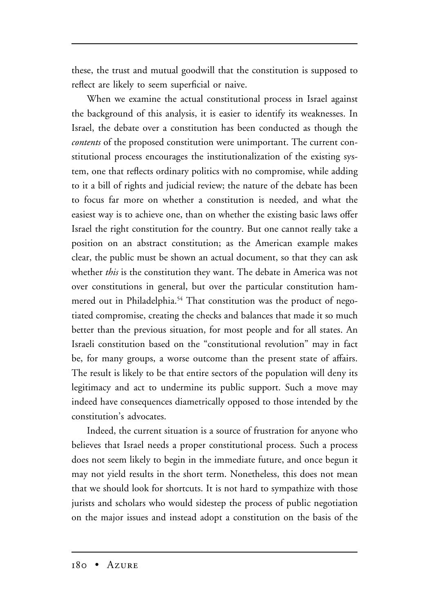these, the trust and mutual goodwill that the constitution is supposed to reflect are likely to seem superficial or naive.

When we examine the actual constitutional process in Israel against the background of this analysis, it is easier to identify its weaknesses. In Israel, the debate over a constitution has been conducted as though the *contents* of the proposed constitution were unimportant. The current constitutional process encourages the institutionalization of the existing system, one that reflects ordinary politics with no compromise, while adding to it a bill of rights and judicial review; the nature of the debate has been to focus far more on whether a constitution is needed, and what the easiest way is to achieve one, than on whether the existing basic laws offer Israel the right constitution for the country. But one cannot really take a position on an abstract constitution; as the American example makes clear, the public must be shown an actual document, so that they can ask whether *this* is the constitution they want. The debate in America was not over constitutions in general, but over the particular constitution hammered out in Philadelphia.<sup>54</sup> That constitution was the product of negotiated compromise, creating the checks and balances that made it so much better than the previous situation, for most people and for all states. An Israeli constitution based on the "constitutional revolution" may in fact be, for many groups, a worse outcome than the present state of affairs. The result is likely to be that entire sectors of the population will deny its legitimacy and act to undermine its public support. Such a move may indeed have consequences diametrically opposed to those intended by the constitution's advocates.

Indeed, the current situation is a source of frustration for anyone who believes that Israel needs a proper constitutional process. Such a process does not seem likely to begin in the immediate future, and once begun it may not yield results in the short term. Nonetheless, this does not mean that we should look for shortcuts. It is not hard to sympathize with those jurists and scholars who would sidestep the process of public negotiation on the major issues and instead adopt a constitution on the basis of the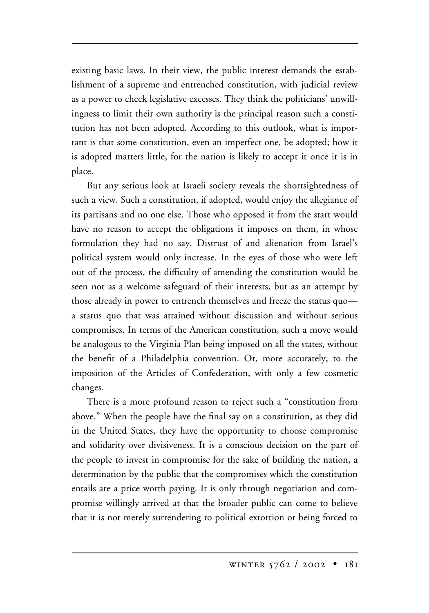existing basic laws. In their view, the public interest demands the establishment of a supreme and entrenched constitution, with judicial review as a power to check legislative excesses. They think the politicians' unwillingness to limit their own authority is the principal reason such a constitution has not been adopted. According to this outlook, what is important is that some constitution, even an imperfect one, be adopted; how it is adopted matters little, for the nation is likely to accept it once it is in place.

But any serious look at Israeli society reveals the shortsightedness of such a view. Such a constitution, if adopted, would enjoy the allegiance of its partisans and no one else. Those who opposed it from the start would have no reason to accept the obligations it imposes on them, in whose formulation they had no say. Distrust of and alienation from Israel's political system would only increase. In the eyes of those who were left out of the process, the difficulty of amending the constitution would be seen not as a welcome safeguard of their interests, but as an attempt by those already in power to entrench themselves and freeze the status quo a status quo that was attained without discussion and without serious compromises. In terms of the American constitution, such a move would be analogous to the Virginia Plan being imposed on all the states, without the benefit of a Philadelphia convention. Or, more accurately, to the imposition of the Articles of Confederation, with only a few cosmetic changes.

There is a more profound reason to reject such a "constitution from above." When the people have the final say on a constitution, as they did in the United States, they have the opportunity to choose compromise and solidarity over divisiveness. It is a conscious decision on the part of the people to invest in compromise for the sake of building the nation, a determination by the public that the compromises which the constitution entails are a price worth paying. It is only through negotiation and compromise willingly arrived at that the broader public can come to believe that it is not merely surrendering to political extortion or being forced to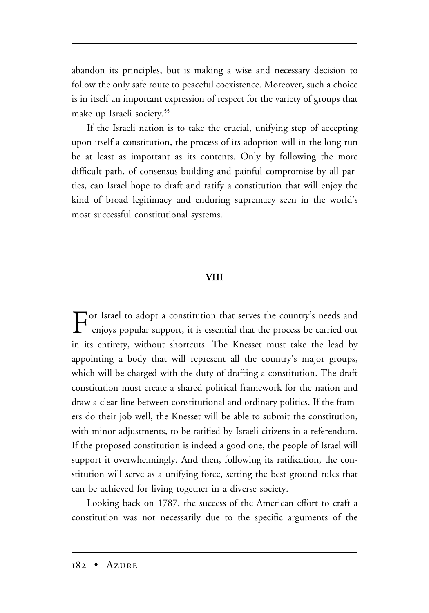abandon its principles, but is making a wise and necessary decision to follow the only safe route to peaceful coexistence. Moreover, such a choice is in itself an important expression of respect for the variety of groups that make up Israeli society.55

If the Israeli nation is to take the crucial, unifying step of accepting upon itself a constitution, the process of its adoption will in the long run be at least as important as its contents. Only by following the more difficult path, of consensus-building and painful compromise by all parties, can Israel hope to draft and ratify a constitution that will enjoy the kind of broad legitimacy and enduring supremacy seen in the world's most successful constitutional systems.

#### **VIII**

For Israel to adopt a constitution that serves the country's needs and<br>
enjoys popular support, it is essential that the process be carried out in its entirety, without shortcuts. The Knesset must take the lead by appointing a body that will represent all the country's major groups, which will be charged with the duty of drafting a constitution. The draft constitution must create a shared political framework for the nation and draw a clear line between constitutional and ordinary politics. If the framers do their job well, the Knesset will be able to submit the constitution, with minor adjustments, to be ratified by Israeli citizens in a referendum. If the proposed constitution is indeed a good one, the people of Israel will support it overwhelmingly. And then, following its ratification, the constitution will serve as a unifying force, setting the best ground rules that can be achieved for living together in a diverse society.

Looking back on 1787, the success of the American effort to craft a constitution was not necessarily due to the specific arguments of the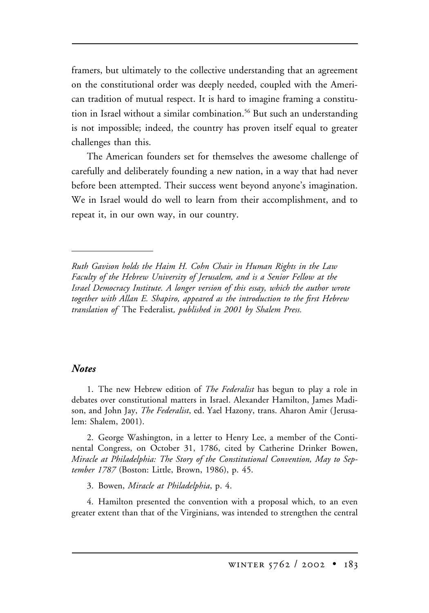framers, but ultimately to the collective understanding that an agreement on the constitutional order was deeply needed, coupled with the American tradition of mutual respect. It is hard to imagine framing a constitution in Israel without a similar combination.<sup>56</sup> But such an understanding is not impossible; indeed, the country has proven itself equal to greater challenges than this.

The American founders set for themselves the awesome challenge of carefully and deliberately founding a new nation, in a way that had never before been attempted. Their success went beyond anyone's imagination. We in Israel would do well to learn from their accomplishment, and to repeat it, in our own way, in our country.

*Ruth Gavison holds the Haim H. Cohn Chair in Human Rights in the Law Faculty of the Hebrew University of Jerusalem, and is a Senior Fellow at the Israel Democracy Institute. A longer version of this essay, which the author wrote together with Allan E. Shapiro, appeared as the introduction to the first Hebrew translation of* The Federalist*, published in 2001 by Shalem Press.*

#### *Notes*

1. The new Hebrew edition of *The Federalist* has begun to play a role in debates over constitutional matters in Israel. Alexander Hamilton, James Madison, and John Jay, *The Federalist*, ed. Yael Hazony, trans. Aharon Amir (Jerusalem: Shalem, 2001).

2. George Washington, in a letter to Henry Lee, a member of the Continental Congress, on October 31, 1786, cited by Catherine Drinker Bowen, *Miracle at Philadelphia: The Story of the Constitutional Convention, May to September 1787* (Boston: Little, Brown, 1986), p. 45.

3. Bowen, *Miracle at Philadelphia*, p. 4.

4. Hamilton presented the convention with a proposal which, to an even greater extent than that of the Virginians, was intended to strengthen the central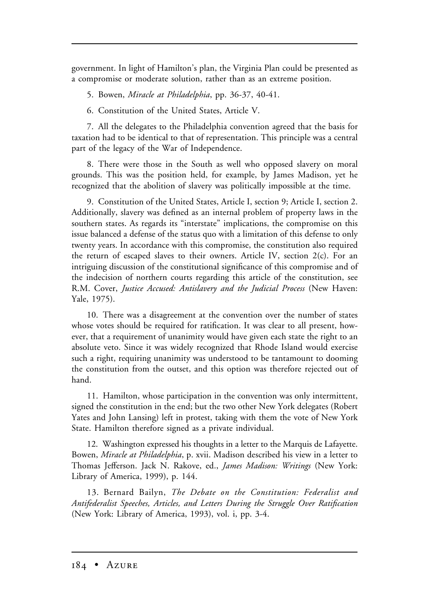government. In light of Hamilton's plan, the Virginia Plan could be presented as a compromise or moderate solution, rather than as an extreme position.

5. Bowen, *Miracle at Philadelphia*, pp. 36-37, 40-41.

6. Constitution of the United States, Article V.

7. All the delegates to the Philadelphia convention agreed that the basis for taxation had to be identical to that of representation. This principle was a central part of the legacy of the War of Independence.

8. There were those in the South as well who opposed slavery on moral grounds. This was the position held, for example, by James Madison, yet he recognized that the abolition of slavery was politically impossible at the time.

9. Constitution of the United States, Article I, section 9; Article I, section 2. Additionally, slavery was defined as an internal problem of property laws in the southern states. As regards its "interstate" implications, the compromise on this issue balanced a defense of the status quo with a limitation of this defense to only twenty years. In accordance with this compromise, the constitution also required the return of escaped slaves to their owners. Article IV, section 2(c). For an intriguing discussion of the constitutional significance of this compromise and of the indecision of northern courts regarding this article of the constitution, see R.M. Cover, *Justice Accused: Antislavery and the Judicial Process* (New Haven: Yale, 1975).

10. There was a disagreement at the convention over the number of states whose votes should be required for ratification. It was clear to all present, however, that a requirement of unanimity would have given each state the right to an absolute veto. Since it was widely recognized that Rhode Island would exercise such a right, requiring unanimity was understood to be tantamount to dooming the constitution from the outset, and this option was therefore rejected out of hand.

11. Hamilton, whose participation in the convention was only intermittent, signed the constitution in the end; but the two other New York delegates (Robert Yates and John Lansing) left in protest, taking with them the vote of New York State. Hamilton therefore signed as a private individual.

12. Washington expressed his thoughts in a letter to the Marquis de Lafayette. Bowen, *Miracle at Philadelphia*, p. xvii. Madison described his view in a letter to Thomas Jefferson. Jack N. Rakove, ed., *James Madison: Writings* (New York: Library of America, 1999), p. 144.

13. Bernard Bailyn, *The Debate on the Constitution: Federalist and Antifederalist Speeches, Articles, and Letters During the Struggle Over Ratification* (New York: Library of America, 1993), vol. i, pp. 3-4.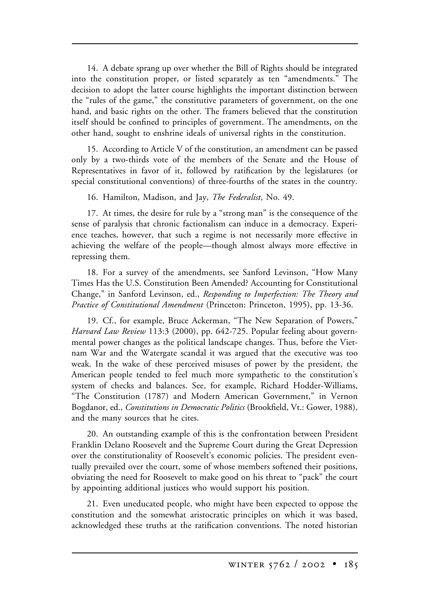14. A debate sprang up over whether the Bill of Rights should be integrated into the constitution proper, or listed separately as ten "amendments." The decision to adopt the latter course highlights the important distinction between the "rules of the game," the constitutive parameters of government, on the one hand, and basic rights on the other. The framers believed that the constitution itself should be confined to principles of government. The amendments, on the other hand, sought to enshrine ideals of universal rights in the constitution.

15. According to Article V of the constitution, an amendment can be passed only by a two-thirds vote of the members of the Senate and the House of Representatives in favor of it, followed by ratification by the legislatures (or special constitutional conventions) of three-fourths of the states in the country.

16. Hamilton, Madison, and Jay, *The Federalist*, No. 49.

17. At times, the desire for rule by a "strong man" is the consequence of the sense of paralysis that chronic factionalism can induce in a democracy. Experience teaches, however, that such a regime is not necessarily more effective in achieving the welfare of the people—though almost always more effective in repressing them.

18. For a survey of the amendments, see Sanford Levinson, "How Many Times Has the U.S. Constitution Been Amended? Accounting for Constitutional Change," in Sanford Levinson, ed., *Responding to Imperfection: The Theory and Practice of Constitutional Amendment* (Princeton: Princeton, 1995), pp. 13-36.

19. Cf., for example, Bruce Ackerman, "The New Separation of Powers," *Harvard Law Review* 113:3 (2000), pp. 642-725. Popular feeling about governmental power changes as the political landscape changes. Thus, before the Vietnam War and the Watergate scandal it was argued that the executive was too weak. In the wake of these perceived misuses of power by the president, the American people tended to feel much more sympathetic to the constitution's system of checks and balances. See, for example, Richard Hodder-Williams, "The Constitution (1787) and Modern American Government," in Vernon Bogdanor, ed., *Constitutions in Democratic Politics* (Brookfield, Vt.: Gower, 1988), and the many sources that he cites.

20. An outstanding example of this is the confrontation between President Franklin Delano Roosevelt and the Supreme Court during the Great Depression over the constitutionality of Roosevelt's economic policies. The president eventually prevailed over the court, some of whose members softened their positions, obviating the need for Roosevelt to make good on his threat to "pack" the court by appointing additional justices who would support his position.

21. Even uneducated people, who might have been expected to oppose the constitution and the somewhat aristocratic principles on which it was based, acknowledged these truths at the ratification conventions. The noted historian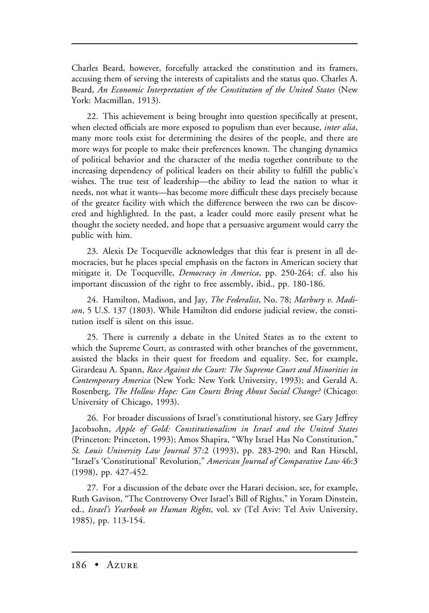Charles Beard, however, forcefully attacked the constitution and its framers, accusing them of serving the interests of capitalists and the status quo. Charles A. Beard, *An Economic Interpretation of the Constitution of the United States* (New York: Macmillan, 1913).

22. This achievement is being brought into question specifically at present, when elected officials are more exposed to populism than ever because, *inter alia*, many more tools exist for determining the desires of the people, and there are more ways for people to make their preferences known. The changing dynamics of political behavior and the character of the media together contribute to the increasing dependency of political leaders on their ability to fulfill the public's wishes. The true test of leadership—the ability to lead the nation to what it needs, not what it wants—has become more difficult these days precisely because of the greater facility with which the difference between the two can be discovered and highlighted. In the past, a leader could more easily present what he thought the society needed, and hope that a persuasive argument would carry the public with him.

23. Alexis De Tocqueville acknowledges that this fear is present in all democracies, but he places special emphasis on the factors in American society that mitigate it. De Tocqueville, *Democracy in America*, pp. 250-264; cf. also his important discussion of the right to free assembly, ibid., pp. 180-186.

24. Hamilton, Madison, and Jay, *The Federalist*, No. 78; *Marbury v. Madison*, 5 U.S. 137 (1803). While Hamilton did endorse judicial review, the constitution itself is silent on this issue.

25. There is currently a debate in the United States as to the extent to which the Supreme Court, as contrasted with other branches of the government, assisted the blacks in their quest for freedom and equality. See, for example, Girardeau A. Spann, *Race Against the Court: The Supreme Court and Minorities in Contemporary America* (New York: New York University, 1993); and Gerald A. Rosenberg, *The Hollow Hope: Can Courts Bring About Social Change?* (Chicago: University of Chicago, 1993).

26. For broader discussions of Israel's constitutional history, see Gary Jeffrey Jacobsohn, *Apple of Gold: Constitutionalism in Israel and the United States* (Princeton: Princeton, 1993); Amos Shapira, "Why Israel Has No Constitution," *St. Louis University Law Journal* 37:2 (1993), pp. 283-290; and Ran Hirschl, "Israel's 'Constitutional' Revolution," *American Journal of Comparative Law* 46:3 (1998), pp. 427-452.

27. For a discussion of the debate over the Harari decision, see, for example, Ruth Gavison, "The Controversy Over Israel's Bill of Rights," in Yoram Dinstein, ed., *Israel's Yearbook on Human Rights*, vol. xv (Tel Aviv: Tel Aviv University, 1985), pp. 113-154.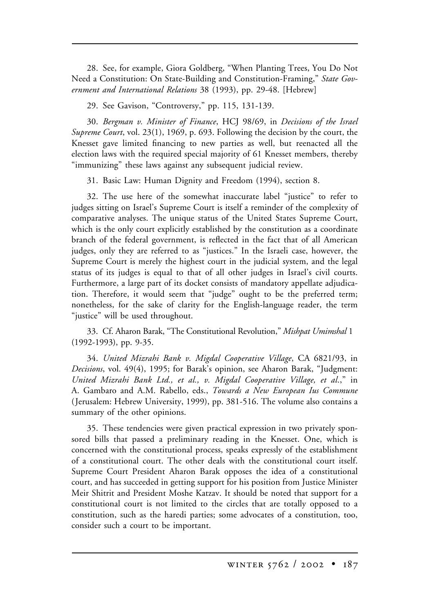28. See, for example, Giora Goldberg, "When Planting Trees, You Do Not Need a Constitution: On State-Building and Constitution-Framing," *State Government and International Relations* 38 (1993), pp. 29-48. [Hebrew]

29. See Gavison, "Controversy," pp. 115, 131-139.

30. *Bergman v. Minister of Finance*, HCJ 98/69, in *Decisions of the Israel Supreme Court*, vol. 23(1), 1969, p. 693. Following the decision by the court, the Knesset gave limited financing to new parties as well, but reenacted all the election laws with the required special majority of 61 Knesset members, thereby "immunizing" these laws against any subsequent judicial review.

31. Basic Law: Human Dignity and Freedom (1994), section 8.

32. The use here of the somewhat inaccurate label "justice" to refer to judges sitting on Israel's Supreme Court is itself a reminder of the complexity of comparative analyses. The unique status of the United States Supreme Court, which is the only court explicitly established by the constitution as a coordinate branch of the federal government, is reflected in the fact that of all American judges, only they are referred to as "justices." In the Israeli case, however, the Supreme Court is merely the highest court in the judicial system, and the legal status of its judges is equal to that of all other judges in Israel's civil courts. Furthermore, a large part of its docket consists of mandatory appellate adjudication. Therefore, it would seem that "judge" ought to be the preferred term; nonetheless, for the sake of clarity for the English-language reader, the term "justice" will be used throughout.

33. Cf. Aharon Barak, "The Constitutional Revolution," *Mishpat Umimshal* 1 (1992-1993), pp. 9-35.

34. *United Mizrahi Bank v. Migdal Cooperative Village*, CA 6821/93, in *Decisions*, vol. 49(4), 1995; for Barak's opinion, see Aharon Barak, "Judgment: *United Mizrahi Bank Ltd., et al., v. Migdal Cooperative Village, et al*.," in A. Gambaro and A.M. Rabello, eds., *Towards a New European Ius Commune* (Jerusalem: Hebrew University, 1999), pp. 381-516. The volume also contains a summary of the other opinions.

35. These tendencies were given practical expression in two privately sponsored bills that passed a preliminary reading in the Knesset. One, which is concerned with the constitutional process, speaks expressly of the establishment of a constitutional court. The other deals with the constitutional court itself. Supreme Court President Aharon Barak opposes the idea of a constitutional court, and has succeeded in getting support for his position from Justice Minister Meir Shitrit and President Moshe Katzav. It should be noted that support for a constitutional court is not limited to the circles that are totally opposed to a constitution, such as the haredi parties; some advocates of a constitution, too, consider such a court to be important.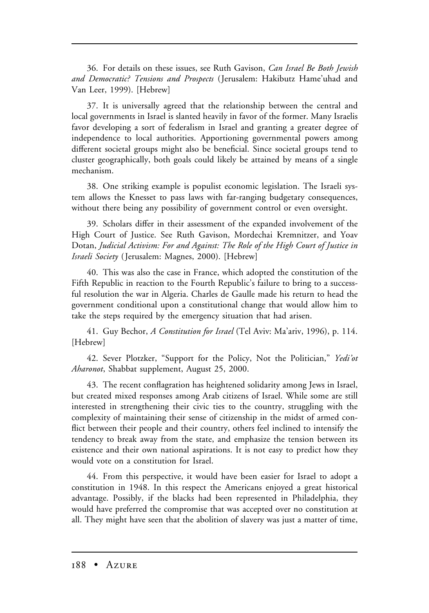36. For details on these issues, see Ruth Gavison, *Can Israel Be Both Jewish and Democratic? Tensions and Prospects* (Jerusalem: Hakibutz Hame'uhad and Van Leer, 1999). [Hebrew]

37. It is universally agreed that the relationship between the central and local governments in Israel is slanted heavily in favor of the former. Many Israelis favor developing a sort of federalism in Israel and granting a greater degree of independence to local authorities. Apportioning governmental powers among different societal groups might also be beneficial. Since societal groups tend to cluster geographically, both goals could likely be attained by means of a single mechanism.

38. One striking example is populist economic legislation. The Israeli system allows the Knesset to pass laws with far-ranging budgetary consequences, without there being any possibility of government control or even oversight.

39. Scholars differ in their assessment of the expanded involvement of the High Court of Justice. See Ruth Gavison, Mordechai Kremnitzer, and Yoav Dotan, *Judicial Activism: For and Against: The Role of the High Court of Justice in Israeli Society* (Jerusalem: Magnes, 2000). [Hebrew]

40. This was also the case in France, which adopted the constitution of the Fifth Republic in reaction to the Fourth Republic's failure to bring to a successful resolution the war in Algeria. Charles de Gaulle made his return to head the government conditional upon a constitutional change that would allow him to take the steps required by the emergency situation that had arisen.

41. Guy Bechor, *A Constitution for Israel* (Tel Aviv: Ma'ariv, 1996), p. 114. [Hebrew]

42. Sever Plotzker, "Support for the Policy, Not the Politician," *Yedi'ot Aharonot*, Shabbat supplement, August 25, 2000.

43. The recent conflagration has heightened solidarity among Jews in Israel, but created mixed responses among Arab citizens of Israel. While some are still interested in strengthening their civic ties to the country, struggling with the complexity of maintaining their sense of citizenship in the midst of armed conflict between their people and their country, others feel inclined to intensify the tendency to break away from the state, and emphasize the tension between its existence and their own national aspirations. It is not easy to predict how they would vote on a constitution for Israel.

44. From this perspective, it would have been easier for Israel to adopt a constitution in 1948. In this respect the Americans enjoyed a great historical advantage. Possibly, if the blacks had been represented in Philadelphia, they would have preferred the compromise that was accepted over no constitution at all. They might have seen that the abolition of slavery was just a matter of time,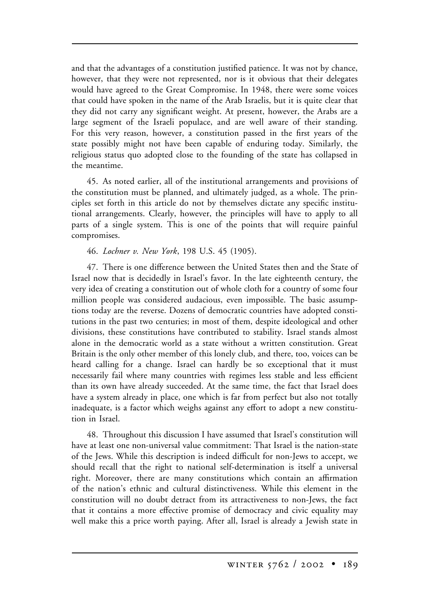and that the advantages of a constitution justified patience. It was not by chance, however, that they were not represented, nor is it obvious that their delegates would have agreed to the Great Compromise. In 1948, there were some voices that could have spoken in the name of the Arab Israelis, but it is quite clear that they did not carry any significant weight. At present, however, the Arabs are a large segment of the Israeli populace, and are well aware of their standing. For this very reason, however, a constitution passed in the first years of the state possibly might not have been capable of enduring today. Similarly, the religious status quo adopted close to the founding of the state has collapsed in the meantime.

45. As noted earlier, all of the institutional arrangements and provisions of the constitution must be planned, and ultimately judged, as a whole. The principles set forth in this article do not by themselves dictate any specific institutional arrangements. Clearly, however, the principles will have to apply to all parts of a single system. This is one of the points that will require painful compromises.

46. *Lochner v. New York*, 198 U.S. 45 (1905).

47. There is one difference between the United States then and the State of Israel now that is decidedly in Israel's favor. In the late eighteenth century, the very idea of creating a constitution out of whole cloth for a country of some four million people was considered audacious, even impossible. The basic assumptions today are the reverse. Dozens of democratic countries have adopted constitutions in the past two centuries; in most of them, despite ideological and other divisions, these constitutions have contributed to stability. Israel stands almost alone in the democratic world as a state without a written constitution. Great Britain is the only other member of this lonely club, and there, too, voices can be heard calling for a change. Israel can hardly be so exceptional that it must necessarily fail where many countries with regimes less stable and less efficient than its own have already succeeded. At the same time, the fact that Israel does have a system already in place, one which is far from perfect but also not totally inadequate, is a factor which weighs against any effort to adopt a new constitution in Israel.

48. Throughout this discussion I have assumed that Israel's constitution will have at least one non-universal value commitment: That Israel is the nation-state of the Jews. While this description is indeed difficult for non-Jews to accept, we should recall that the right to national self-determination is itself a universal right. Moreover, there are many constitutions which contain an affirmation of the nation's ethnic and cultural distinctiveness. While this element in the constitution will no doubt detract from its attractiveness to non-Jews, the fact that it contains a more effective promise of democracy and civic equality may well make this a price worth paying. After all, Israel is already a Jewish state in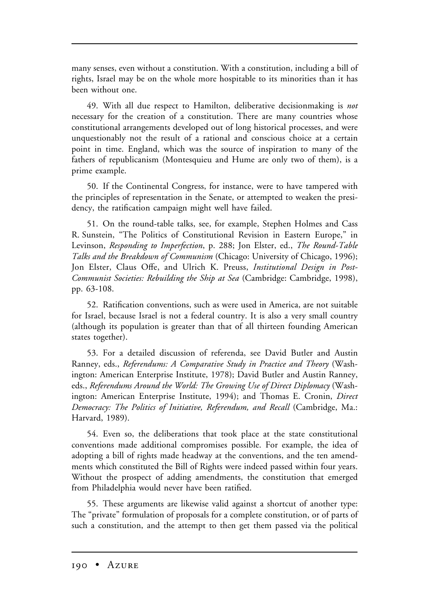many senses, even without a constitution. With a constitution, including a bill of rights, Israel may be on the whole more hospitable to its minorities than it has been without one.

49. With all due respect to Hamilton, deliberative decisionmaking is *not* necessary for the creation of a constitution. There are many countries whose constitutional arrangements developed out of long historical processes, and were unquestionably not the result of a rational and conscious choice at a certain point in time. England, which was the source of inspiration to many of the fathers of republicanism (Montesquieu and Hume are only two of them), is a prime example.

50. If the Continental Congress, for instance, were to have tampered with the principles of representation in the Senate, or attempted to weaken the presidency, the ratification campaign might well have failed.

51. On the round-table talks, see, for example, Stephen Holmes and Cass R. Sunstein, "The Politics of Constitutional Revision in Eastern Europe," in Levinson, *Responding to Imperfection*, p. 288; Jon Elster, ed., *The Round-Table Talks and the Breakdown of Communism* (Chicago: University of Chicago, 1996); Jon Elster, Claus Offe, and Ulrich K. Preuss, *Institutional Design in Post-Communist Societies: Rebuilding the Ship at Sea* (Cambridge: Cambridge, 1998), pp. 63-108.

52. Ratification conventions, such as were used in America, are not suitable for Israel, because Israel is not a federal country. It is also a very small country (although its population is greater than that of all thirteen founding American states together).

53. For a detailed discussion of referenda, see David Butler and Austin Ranney, eds., *Referendums: A Comparative Study in Practice and Theory* (Washington: American Enterprise Institute, 1978); David Butler and Austin Ranney, eds., *Referendums Around the World: The Growing Use of Direct Diplomacy* (Washington: American Enterprise Institute, 1994); and Thomas E. Cronin, *Direct Democracy: The Politics of Initiative, Referendum, and Recall* (Cambridge, Ma.: Harvard, 1989).

54. Even so, the deliberations that took place at the state constitutional conventions made additional compromises possible. For example, the idea of adopting a bill of rights made headway at the conventions, and the ten amendments which constituted the Bill of Rights were indeed passed within four years. Without the prospect of adding amendments, the constitution that emerged from Philadelphia would never have been ratified.

55. These arguments are likewise valid against a shortcut of another type: The "private" formulation of proposals for a complete constitution, or of parts of such a constitution, and the attempt to then get them passed via the political